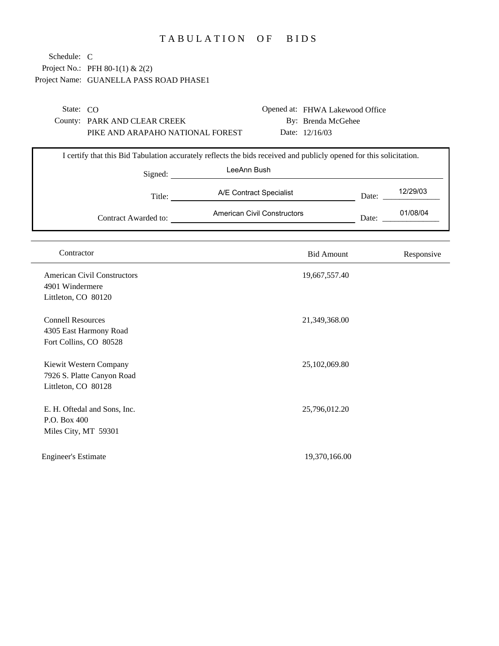## TABULATION OF BIDS

| Schedule: C                |                                         |                                                                                                                     |       |            |
|----------------------------|-----------------------------------------|---------------------------------------------------------------------------------------------------------------------|-------|------------|
|                            | Project No.: PFH 80-1(1) & 2(2)         |                                                                                                                     |       |            |
|                            | Project Name: GUANELLA PASS ROAD PHASE1 |                                                                                                                     |       |            |
|                            |                                         |                                                                                                                     |       |            |
| State: CO                  |                                         | Opened at: FHWA Lakewood Office                                                                                     |       |            |
|                            | County: PARK AND CLEAR CREEK            | By: Brenda McGehee                                                                                                  |       |            |
|                            | PIKE AND ARAPAHO NATIONAL FOREST        | Date: 12/16/03                                                                                                      |       |            |
|                            |                                         |                                                                                                                     |       |            |
|                            |                                         | I certify that this Bid Tabulation accurately reflects the bids received and publicly opened for this solicitation. |       |            |
|                            |                                         | LeeAnn Bush                                                                                                         |       |            |
|                            | Signed:                                 |                                                                                                                     |       |            |
|                            |                                         | A/E Contract Specialist                                                                                             |       | 12/29/03   |
|                            | Title:                                  |                                                                                                                     | Date: |            |
|                            | Contract Awarded to:                    | American Civil Constructors                                                                                         | Date: | 01/08/04   |
|                            |                                         |                                                                                                                     |       |            |
|                            |                                         |                                                                                                                     |       |            |
| Contractor                 |                                         | <b>Bid Amount</b>                                                                                                   |       | Responsive |
|                            | <b>American Civil Constructors</b>      | 19,667,557.40                                                                                                       |       |            |
| 4901 Windermere            |                                         |                                                                                                                     |       |            |
| Littleton, CO 80120        |                                         |                                                                                                                     |       |            |
|                            |                                         |                                                                                                                     |       |            |
| <b>Connell Resources</b>   |                                         | 21,349,368.00                                                                                                       |       |            |
|                            | 4305 East Harmony Road                  |                                                                                                                     |       |            |
|                            | Fort Collins, CO 80528                  |                                                                                                                     |       |            |
|                            |                                         |                                                                                                                     |       |            |
|                            | Kiewit Western Company                  | 25,102,069.80                                                                                                       |       |            |
|                            | 7926 S. Platte Canyon Road              |                                                                                                                     |       |            |
| Littleton, CO 80128        |                                         |                                                                                                                     |       |            |
|                            | E. H. Oftedal and Sons, Inc.            | 25,796,012.20                                                                                                       |       |            |
| P.O. Box 400               |                                         |                                                                                                                     |       |            |
| Miles City, MT 59301       |                                         |                                                                                                                     |       |            |
|                            |                                         |                                                                                                                     |       |            |
| <b>Engineer's Estimate</b> |                                         | 19,370,166.00                                                                                                       |       |            |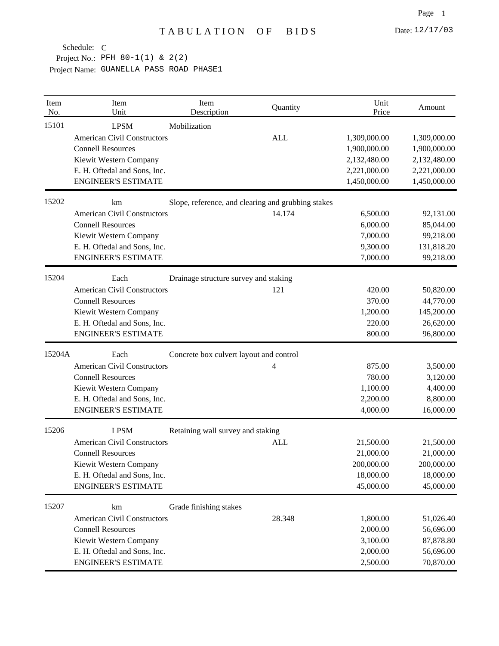| Item<br>No. | Item<br>Unit                       | Item<br>Description                                | Quantity   | Unit<br>Price | Amount       |
|-------------|------------------------------------|----------------------------------------------------|------------|---------------|--------------|
| 15101       | <b>LPSM</b>                        | Mobilization                                       |            |               |              |
|             | <b>American Civil Constructors</b> |                                                    | <b>ALL</b> | 1,309,000.00  | 1,309,000.00 |
|             | <b>Connell Resources</b>           |                                                    |            | 1,900,000.00  | 1,900,000.00 |
|             | Kiewit Western Company             |                                                    |            | 2,132,480.00  | 2,132,480.00 |
|             | E. H. Oftedal and Sons, Inc.       |                                                    |            | 2,221,000.00  | 2,221,000.00 |
|             | <b>ENGINEER'S ESTIMATE</b>         |                                                    |            | 1,450,000.00  | 1,450,000.00 |
| 15202       | km                                 | Slope, reference, and clearing and grubbing stakes |            |               |              |
|             | <b>American Civil Constructors</b> |                                                    | 14.174     | 6,500.00      | 92,131.00    |
|             | <b>Connell Resources</b>           |                                                    |            | 6,000.00      | 85,044.00    |
|             | Kiewit Western Company             |                                                    |            | 7,000.00      | 99,218.00    |
|             | E. H. Oftedal and Sons, Inc.       |                                                    |            | 9,300.00      | 131,818.20   |
|             | <b>ENGINEER'S ESTIMATE</b>         |                                                    |            | 7,000.00      | 99,218.00    |
| 15204       | Each                               | Drainage structure survey and staking              |            |               |              |
|             | <b>American Civil Constructors</b> |                                                    | 121        | 420.00        | 50,820.00    |
|             | <b>Connell Resources</b>           |                                                    |            | 370.00        | 44,770.00    |
|             | Kiewit Western Company             |                                                    |            | 1,200.00      | 145,200.00   |
|             | E. H. Oftedal and Sons, Inc.       |                                                    |            | 220.00        | 26,620.00    |
|             | <b>ENGINEER'S ESTIMATE</b>         |                                                    |            | 800.00        | 96,800.00    |
| 15204A      | Each                               | Concrete box culvert layout and control            |            |               |              |
|             | <b>American Civil Constructors</b> |                                                    | 4          | 875.00        | 3,500.00     |
|             | <b>Connell Resources</b>           |                                                    |            | 780.00        | 3,120.00     |
|             | Kiewit Western Company             |                                                    |            | 1,100.00      | 4,400.00     |
|             | E. H. Oftedal and Sons, Inc.       |                                                    |            | 2,200.00      | 8,800.00     |
|             | <b>ENGINEER'S ESTIMATE</b>         |                                                    |            | 4,000.00      | 16,000.00    |
| 15206       | <b>LPSM</b>                        | Retaining wall survey and staking                  |            |               |              |
|             | <b>American Civil Constructors</b> |                                                    | <b>ALL</b> | 21,500.00     | 21,500.00    |
|             | <b>Connell Resources</b>           |                                                    |            | 21,000.00     | 21,000.00    |
|             | Kiewit Western Company             |                                                    |            | 200,000.00    | 200,000.00   |
|             | E. H. Oftedal and Sons, Inc.       |                                                    |            | 18,000.00     | 18,000.00    |
|             | <b>ENGINEER'S ESTIMATE</b>         |                                                    |            | 45,000.00     | 45,000.00    |
| 15207       | km                                 | Grade finishing stakes                             |            |               |              |
|             | <b>American Civil Constructors</b> |                                                    | 28.348     | 1,800.00      | 51,026.40    |
|             | <b>Connell Resources</b>           |                                                    |            | 2,000.00      | 56,696.00    |
|             | Kiewit Western Company             |                                                    |            | 3,100.00      | 87,878.80    |
|             | E. H. Oftedal and Sons, Inc.       |                                                    |            | 2,000.00      | 56,696.00    |
|             | <b>ENGINEER'S ESTIMATE</b>         |                                                    |            | 2,500.00      | 70,870.00    |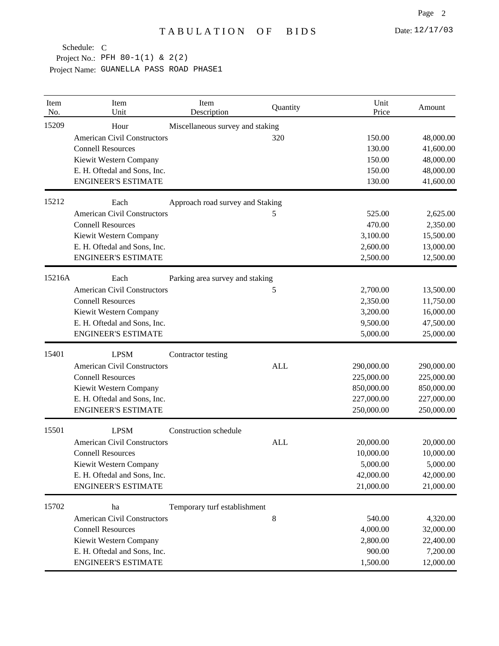| Item<br>No. | Item<br>Unit                       | Item<br>Description              | Quantity   | Unit<br>Price | Amount     |
|-------------|------------------------------------|----------------------------------|------------|---------------|------------|
| 15209       | Hour                               | Miscellaneous survey and staking |            |               |            |
|             | <b>American Civil Constructors</b> |                                  | 320        | 150.00        | 48,000.00  |
|             | <b>Connell Resources</b>           |                                  |            | 130.00        | 41,600.00  |
|             | Kiewit Western Company             |                                  |            | 150.00        | 48,000.00  |
|             | E. H. Oftedal and Sons, Inc.       |                                  |            | 150.00        | 48,000.00  |
|             | <b>ENGINEER'S ESTIMATE</b>         |                                  |            | 130.00        | 41,600.00  |
| 15212       | Each                               | Approach road survey and Staking |            |               |            |
|             | <b>American Civil Constructors</b> |                                  | 5          | 525.00        | 2,625.00   |
|             | <b>Connell Resources</b>           |                                  |            | 470.00        | 2,350.00   |
|             | Kiewit Western Company             |                                  |            | 3,100.00      | 15,500.00  |
|             | E. H. Oftedal and Sons, Inc.       |                                  |            | 2,600.00      | 13,000.00  |
|             | <b>ENGINEER'S ESTIMATE</b>         |                                  |            | 2,500.00      | 12,500.00  |
| 15216A      | Each                               | Parking area survey and staking  |            |               |            |
|             | <b>American Civil Constructors</b> |                                  | 5          | 2,700.00      | 13,500.00  |
|             | <b>Connell Resources</b>           |                                  |            | 2,350.00      | 11,750.00  |
|             | Kiewit Western Company             |                                  |            | 3,200.00      | 16,000.00  |
|             | E. H. Oftedal and Sons, Inc.       |                                  |            | 9,500.00      | 47,500.00  |
|             | <b>ENGINEER'S ESTIMATE</b>         |                                  |            | 5,000.00      | 25,000.00  |
| 15401       | <b>LPSM</b>                        | Contractor testing               |            |               |            |
|             | <b>American Civil Constructors</b> |                                  | <b>ALL</b> | 290,000.00    | 290,000.00 |
|             | <b>Connell Resources</b>           |                                  |            | 225,000.00    | 225,000.00 |
|             | Kiewit Western Company             |                                  |            | 850,000.00    | 850,000.00 |
|             | E. H. Oftedal and Sons, Inc.       |                                  |            | 227,000.00    | 227,000.00 |
|             | <b>ENGINEER'S ESTIMATE</b>         |                                  |            | 250,000.00    | 250,000.00 |
| 15501       | <b>LPSM</b>                        | Construction schedule            |            |               |            |
|             | <b>American Civil Constructors</b> |                                  | <b>ALL</b> | 20,000.00     | 20,000.00  |
|             | <b>Connell Resources</b>           |                                  |            | 10,000.00     | 10,000.00  |
|             | Kiewit Western Company             |                                  |            | 5,000.00      | 5,000.00   |
|             | E. H. Oftedal and Sons, Inc.       |                                  |            | 42,000.00     | 42,000.00  |
|             | <b>ENGINEER'S ESTIMATE</b>         |                                  |            | 21,000.00     | 21,000.00  |
| 15702       | ha                                 | Temporary turf establishment     |            |               |            |
|             | <b>American Civil Constructors</b> |                                  | $\,8\,$    | 540.00        | 4,320.00   |
|             | <b>Connell Resources</b>           |                                  |            | 4,000.00      | 32,000.00  |
|             | Kiewit Western Company             |                                  |            | 2,800.00      | 22,400.00  |
|             | E. H. Oftedal and Sons, Inc.       |                                  |            | 900.00        | 7,200.00   |
|             | <b>ENGINEER'S ESTIMATE</b>         |                                  |            | 1,500.00      | 12,000.00  |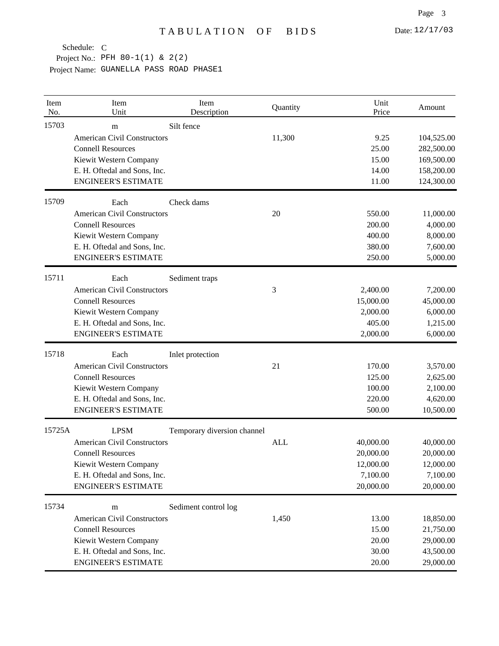| Item<br>No. | Item<br>Unit                            | Item<br>Description         | Quantity   | Unit<br>Price | Amount                   |
|-------------|-----------------------------------------|-----------------------------|------------|---------------|--------------------------|
| 15703       | m<br><b>American Civil Constructors</b> | Silt fence                  |            |               |                          |
|             | <b>Connell Resources</b>                |                             | 11,300     | 9.25<br>25.00 | 104,525.00<br>282,500.00 |
|             | Kiewit Western Company                  |                             |            | 15.00         | 169,500.00               |
|             | E. H. Oftedal and Sons, Inc.            |                             |            | 14.00         | 158,200.00               |
|             | <b>ENGINEER'S ESTIMATE</b>              |                             |            | 11.00         | 124,300.00               |
| 15709       | Each                                    | Check dams                  |            |               |                          |
|             | <b>American Civil Constructors</b>      |                             | 20         | 550.00        | 11,000.00                |
|             | <b>Connell Resources</b>                |                             |            | 200.00        | 4,000.00                 |
|             | Kiewit Western Company                  |                             |            | 400.00        | 8,000.00                 |
|             | E. H. Oftedal and Sons, Inc.            |                             |            | 380.00        | 7,600.00                 |
|             | <b>ENGINEER'S ESTIMATE</b>              |                             |            | 250.00        | 5,000.00                 |
| 15711       | Each                                    | Sediment traps              |            |               |                          |
|             | <b>American Civil Constructors</b>      |                             | 3          | 2,400.00      | 7,200.00                 |
|             | <b>Connell Resources</b>                |                             |            | 15,000.00     | 45,000.00                |
|             | Kiewit Western Company                  |                             |            | 2,000.00      | 6,000.00                 |
|             | E. H. Oftedal and Sons, Inc.            |                             |            | 405.00        | 1,215.00                 |
|             | <b>ENGINEER'S ESTIMATE</b>              |                             |            | 2,000.00      | 6,000.00                 |
| 15718       | Each                                    | Inlet protection            |            |               |                          |
|             | <b>American Civil Constructors</b>      |                             | 21         | 170.00        | 3,570.00                 |
|             | <b>Connell Resources</b>                |                             |            | 125.00        | 2,625.00                 |
|             | Kiewit Western Company                  |                             |            | 100.00        | 2,100.00                 |
|             | E. H. Oftedal and Sons, Inc.            |                             |            | 220.00        | 4,620.00                 |
|             | <b>ENGINEER'S ESTIMATE</b>              |                             |            | 500.00        | 10,500.00                |
| 15725A      | <b>LPSM</b>                             | Temporary diversion channel |            |               |                          |
|             | <b>American Civil Constructors</b>      |                             | <b>ALL</b> | 40,000.00     | 40,000.00                |
|             | <b>Connell Resources</b>                |                             |            | 20,000.00     | 20,000.00                |
|             | Kiewit Western Company                  |                             |            | 12,000.00     | 12,000.00                |
|             | E. H. Oftedal and Sons, Inc.            |                             |            | 7,100.00      | 7,100.00                 |
|             | <b>ENGINEER'S ESTIMATE</b>              |                             |            | 20,000.00     | 20,000.00                |
| 15734       | m                                       | Sediment control log        |            |               |                          |
|             | <b>American Civil Constructors</b>      |                             | 1,450      | 13.00         | 18,850.00                |
|             | <b>Connell Resources</b>                |                             |            | 15.00         | 21,750.00                |
|             | Kiewit Western Company                  |                             |            | 20.00         | 29,000.00                |
|             | E. H. Oftedal and Sons, Inc.            |                             |            | 30.00         | 43,500.00                |
|             | <b>ENGINEER'S ESTIMATE</b>              |                             |            | 20.00         | 29,000.00                |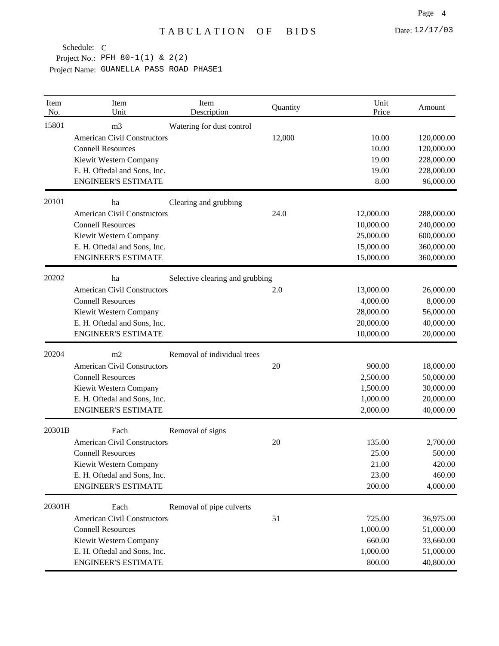| Item<br>No. | Item<br>Unit                       | Item<br>Description             | Quantity | Unit<br>Price | Amount     |
|-------------|------------------------------------|---------------------------------|----------|---------------|------------|
| 15801       | m <sub>3</sub>                     | Watering for dust control       |          |               |            |
|             | <b>American Civil Constructors</b> |                                 | 12,000   | 10.00         | 120,000.00 |
|             | <b>Connell Resources</b>           |                                 |          | 10.00         | 120,000.00 |
|             | Kiewit Western Company             |                                 |          | 19.00         | 228,000.00 |
|             | E. H. Oftedal and Sons, Inc.       |                                 |          | 19.00         | 228,000.00 |
|             | <b>ENGINEER'S ESTIMATE</b>         |                                 |          | 8.00          | 96,000.00  |
| 20101       | ha                                 | Clearing and grubbing           |          |               |            |
|             | <b>American Civil Constructors</b> |                                 | 24.0     | 12,000.00     | 288,000.00 |
|             | <b>Connell Resources</b>           |                                 |          | 10,000.00     | 240,000.00 |
|             | Kiewit Western Company             |                                 |          | 25,000.00     | 600,000.00 |
|             | E. H. Oftedal and Sons, Inc.       |                                 |          | 15,000.00     | 360,000.00 |
|             | <b>ENGINEER'S ESTIMATE</b>         |                                 |          | 15,000.00     | 360,000.00 |
| 20202       | ha                                 | Selective clearing and grubbing |          |               |            |
|             | <b>American Civil Constructors</b> |                                 | 2.0      | 13,000.00     | 26,000.00  |
|             | <b>Connell Resources</b>           |                                 |          | 4,000.00      | 8,000.00   |
|             | Kiewit Western Company             |                                 |          | 28,000.00     | 56,000.00  |
|             | E. H. Oftedal and Sons, Inc.       |                                 |          | 20,000.00     | 40,000.00  |
|             | <b>ENGINEER'S ESTIMATE</b>         |                                 |          | 10,000.00     | 20,000.00  |
| 20204       | m2                                 | Removal of individual trees     |          |               |            |
|             | <b>American Civil Constructors</b> |                                 | 20       | 900.00        | 18,000.00  |
|             | <b>Connell Resources</b>           |                                 |          | 2,500.00      | 50,000.00  |
|             | Kiewit Western Company             |                                 |          | 1,500.00      | 30,000.00  |
|             | E. H. Oftedal and Sons, Inc.       |                                 |          | 1,000.00      | 20,000.00  |
|             | <b>ENGINEER'S ESTIMATE</b>         |                                 |          | 2,000.00      | 40,000.00  |
| 20301B      | Each                               | Removal of signs                |          |               |            |
|             | <b>American Civil Constructors</b> |                                 | 20       | 135.00        | 2,700.00   |
|             | <b>Connell Resources</b>           |                                 |          | 25.00         | 500.00     |
|             | Kiewit Western Company             |                                 |          | 21.00         | 420.00     |
|             | E. H. Oftedal and Sons, Inc.       |                                 |          | 23.00         | 460.00     |
|             | <b>ENGINEER'S ESTIMATE</b>         |                                 |          | 200.00        | 4,000.00   |
|             | Each                               | Removal of pipe culverts        |          |               |            |
|             | <b>American Civil Constructors</b> |                                 | 51       | 725.00        | 36,975.00  |
|             | <b>Connell Resources</b>           |                                 |          | 1,000.00      | 51,000.00  |
|             | Kiewit Western Company             |                                 |          | 660.00        | 33,660.00  |
| 20301H      | E. H. Oftedal and Sons, Inc.       |                                 |          | 1,000.00      | 51,000.00  |
|             | <b>ENGINEER'S ESTIMATE</b>         |                                 |          | 800.00        | 40,800.00  |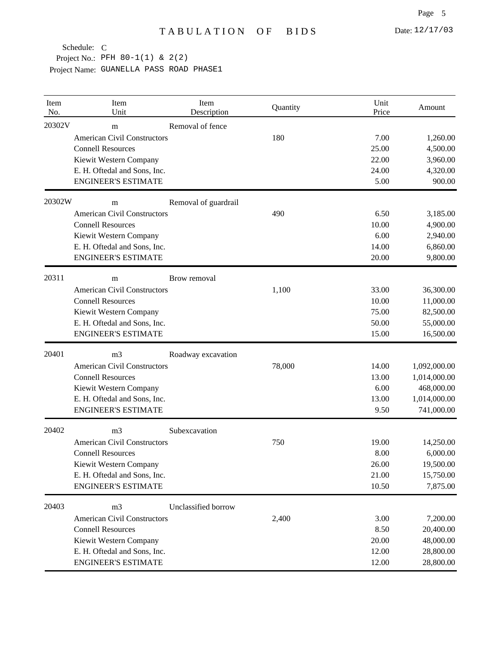Project No.: PFH 80-1(1) & 2(2) Schedule: C

| Item<br>No. | Item<br>Unit                       | Item<br>Description  | Quantity | Unit<br>Price | Amount       |
|-------------|------------------------------------|----------------------|----------|---------------|--------------|
| 20302V      | m                                  | Removal of fence     |          |               |              |
|             | <b>American Civil Constructors</b> |                      | 180      | 7.00          | 1,260.00     |
|             | <b>Connell Resources</b>           |                      |          | 25.00         | 4,500.00     |
|             | Kiewit Western Company             |                      |          | 22.00         | 3,960.00     |
|             | E. H. Oftedal and Sons, Inc.       |                      |          | 24.00         | 4,320.00     |
|             | <b>ENGINEER'S ESTIMATE</b>         |                      |          | 5.00          | 900.00       |
| 20302W      | m                                  | Removal of guardrail |          |               |              |
|             | <b>American Civil Constructors</b> |                      | 490      | 6.50          | 3,185.00     |
|             | <b>Connell Resources</b>           |                      |          | 10.00         | 4,900.00     |
|             | Kiewit Western Company             |                      |          | 6.00          | 2,940.00     |
|             | E. H. Oftedal and Sons, Inc.       |                      |          | 14.00         | 6,860.00     |
|             | <b>ENGINEER'S ESTIMATE</b>         |                      |          | 20.00         | 9,800.00     |
| 20311       | m                                  | Brow removal         |          |               |              |
|             | <b>American Civil Constructors</b> |                      | 1,100    | 33.00         | 36,300.00    |
|             | <b>Connell Resources</b>           |                      |          | 10.00         | 11,000.00    |
|             | Kiewit Western Company             |                      |          | 75.00         | 82,500.00    |
|             | E. H. Oftedal and Sons, Inc.       |                      |          | 50.00         | 55,000.00    |
|             | <b>ENGINEER'S ESTIMATE</b>         |                      |          | 15.00         | 16,500.00    |
| 20401       | m <sub>3</sub>                     | Roadway excavation   |          |               |              |
|             | <b>American Civil Constructors</b> |                      | 78,000   | 14.00         | 1,092,000.00 |
|             | <b>Connell Resources</b>           |                      |          | 13.00         | 1,014,000.00 |
|             | Kiewit Western Company             |                      |          | 6.00          | 468,000.00   |
|             | E. H. Oftedal and Sons, Inc.       |                      |          | 13.00         | 1,014,000.00 |
|             | <b>ENGINEER'S ESTIMATE</b>         |                      |          | 9.50          | 741,000.00   |
| 20402       | m <sub>3</sub>                     | Subexcavation        |          |               |              |
|             | <b>American Civil Constructors</b> |                      | 750      | 19.00         | 14,250.00    |
|             | <b>Connell Resources</b>           |                      |          | 8.00          | 6,000.00     |
|             | Kiewit Western Company             |                      |          | 26.00         | 19,500.00    |
|             | E. H. Oftedal and Sons, Inc.       |                      |          | 21.00         | 15,750.00    |
|             | <b>ENGINEER'S ESTIMATE</b>         |                      |          | 10.50         | 7,875.00     |
| 20403       | m <sub>3</sub>                     | Unclassified borrow  |          |               |              |
|             | <b>American Civil Constructors</b> |                      | 2,400    | 3.00          | 7,200.00     |
|             | <b>Connell Resources</b>           |                      |          | 8.50          | 20,400.00    |
|             | Kiewit Western Company             |                      |          | 20.00         | 48,000.00    |
|             | E. H. Oftedal and Sons, Inc.       |                      |          | 12.00         | 28,800.00    |
|             | <b>ENGINEER'S ESTIMATE</b>         |                      |          | 12.00         | 28,800.00    |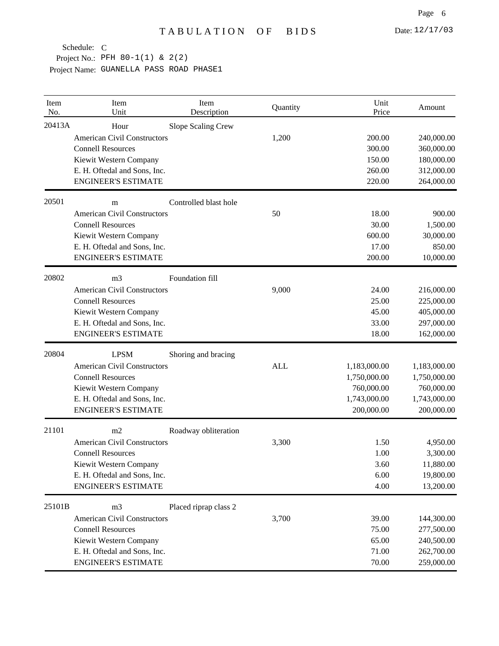Project No.: PFH 80-1(1) & 2(2)

| Item<br>No. | Item<br>Unit                                                                                                                                                             | Item<br>Description   | Quantity   | Unit<br>Price                                                            | Amount                                                                   |
|-------------|--------------------------------------------------------------------------------------------------------------------------------------------------------------------------|-----------------------|------------|--------------------------------------------------------------------------|--------------------------------------------------------------------------|
| 20413A      | Hour<br><b>American Civil Constructors</b><br><b>Connell Resources</b><br>Kiewit Western Company<br>E. H. Oftedal and Sons, Inc.                                         | Slope Scaling Crew    | 1,200      | 200.00<br>300.00<br>150.00<br>260.00                                     | 240,000.00<br>360,000.00<br>180,000.00<br>312,000.00                     |
|             | <b>ENGINEER'S ESTIMATE</b>                                                                                                                                               |                       |            | 220.00                                                                   | 264,000.00                                                               |
| 20501       | m<br><b>American Civil Constructors</b><br><b>Connell Resources</b><br>Kiewit Western Company<br>E. H. Oftedal and Sons, Inc.<br><b>ENGINEER'S ESTIMATE</b>              | Controlled blast hole | 50         | 18.00<br>30.00<br>600.00<br>17.00<br>200.00                              | 900.00<br>1,500.00<br>30,000.00<br>850.00<br>10,000.00                   |
| 20802       | m <sub>3</sub><br><b>American Civil Constructors</b><br><b>Connell Resources</b><br>Kiewit Western Company<br>E. H. Oftedal and Sons, Inc.<br><b>ENGINEER'S ESTIMATE</b> | Foundation fill       | 9,000      | 24.00<br>25.00<br>45.00<br>33.00<br>18.00                                | 216,000.00<br>225,000.00<br>405,000.00<br>297,000.00<br>162,000.00       |
| 20804       | <b>LPSM</b><br><b>American Civil Constructors</b><br><b>Connell Resources</b><br>Kiewit Western Company<br>E. H. Oftedal and Sons, Inc.<br><b>ENGINEER'S ESTIMATE</b>    | Shoring and bracing   | <b>ALL</b> | 1,183,000.00<br>1,750,000.00<br>760,000.00<br>1,743,000.00<br>200,000.00 | 1,183,000.00<br>1,750,000.00<br>760,000.00<br>1,743,000.00<br>200,000.00 |
| 21101       | m2<br><b>American Civil Constructors</b><br><b>Connell Resources</b><br>Kiewit Western Company<br>E. H. Oftedal and Sons, Inc.<br><b>ENGINEER'S ESTIMATE</b>             | Roadway obliteration  | 3,300      | 1.50<br>1.00<br>3.60<br>6.00<br>4.00                                     | 4,950.00<br>3,300.00<br>11,880.00<br>19,800.00<br>13,200.00              |
| 25101B      | m <sub>3</sub><br><b>American Civil Constructors</b><br><b>Connell Resources</b><br>Kiewit Western Company<br>E. H. Oftedal and Sons, Inc.<br><b>ENGINEER'S ESTIMATE</b> | Placed riprap class 2 | 3,700      | 39.00<br>75.00<br>65.00<br>71.00<br>70.00                                | 144,300.00<br>277,500.00<br>240,500.00<br>262,700.00<br>259,000.00       |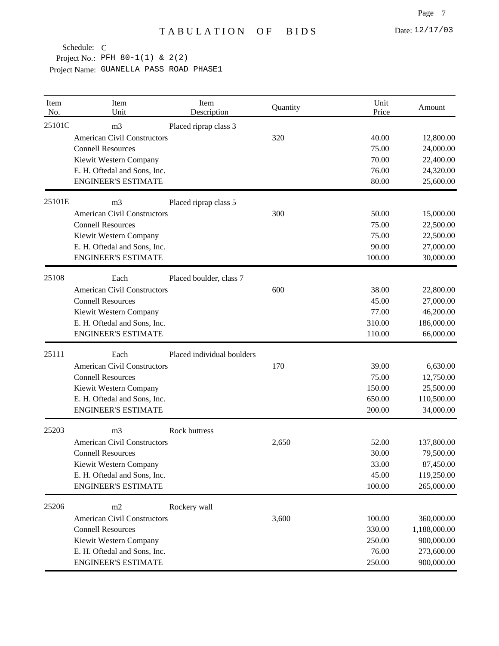Project No.: PFH 80-1(1) & 2(2) Schedule: C

| Item<br>No. | Item<br>Unit                                                                                                                                                             | Item<br>Description        | Quantity | Unit<br>Price                                 | Amount                                                               |
|-------------|--------------------------------------------------------------------------------------------------------------------------------------------------------------------------|----------------------------|----------|-----------------------------------------------|----------------------------------------------------------------------|
| 25101C      | m <sub>3</sub><br><b>American Civil Constructors</b><br><b>Connell Resources</b><br>Kiewit Western Company<br>E. H. Oftedal and Sons, Inc.<br><b>ENGINEER'S ESTIMATE</b> | Placed riprap class 3      | 320      | 40.00<br>75.00<br>70.00<br>76.00<br>80.00     | 12,800.00<br>24,000.00<br>22,400.00<br>24,320.00<br>25,600.00        |
| 25101E      | m <sub>3</sub><br><b>American Civil Constructors</b><br><b>Connell Resources</b><br>Kiewit Western Company<br>E. H. Oftedal and Sons, Inc.<br><b>ENGINEER'S ESTIMATE</b> | Placed riprap class 5      | 300      | 50.00<br>75.00<br>75.00<br>90.00<br>100.00    | 15,000.00<br>22,500.00<br>22,500.00<br>27,000.00<br>30,000.00        |
| 25108       | Each<br><b>American Civil Constructors</b><br><b>Connell Resources</b><br>Kiewit Western Company<br>E. H. Oftedal and Sons, Inc.<br><b>ENGINEER'S ESTIMATE</b>           | Placed boulder, class 7    | 600      | 38.00<br>45.00<br>77.00<br>310.00<br>110.00   | 22,800.00<br>27,000.00<br>46,200.00<br>186,000.00<br>66,000.00       |
| 25111       | Each<br><b>American Civil Constructors</b><br><b>Connell Resources</b><br>Kiewit Western Company<br>E. H. Oftedal and Sons, Inc.<br><b>ENGINEER'S ESTIMATE</b>           | Placed individual boulders | 170      | 39.00<br>75.00<br>150.00<br>650.00<br>200.00  | 6,630.00<br>12,750.00<br>25,500.00<br>110,500.00<br>34,000.00        |
| 25203       | m <sub>3</sub><br><b>American Civil Constructors</b><br><b>Connell Resources</b><br>Kiewit Western Company<br>E. H. Oftedal and Sons, Inc.<br><b>ENGINEER'S ESTIMATE</b> | Rock buttress              | 2,650    | 52.00<br>30.00<br>33.00<br>45.00<br>100.00    | 137,800.00<br>79,500.00<br>87,450.00<br>119,250.00<br>265,000.00     |
| 25206       | m2<br><b>American Civil Constructors</b><br><b>Connell Resources</b><br>Kiewit Western Company<br>E. H. Oftedal and Sons, Inc.<br><b>ENGINEER'S ESTIMATE</b>             | Rockery wall               | 3,600    | 100.00<br>330.00<br>250.00<br>76.00<br>250.00 | 360,000.00<br>1,188,000.00<br>900,000.00<br>273,600.00<br>900,000.00 |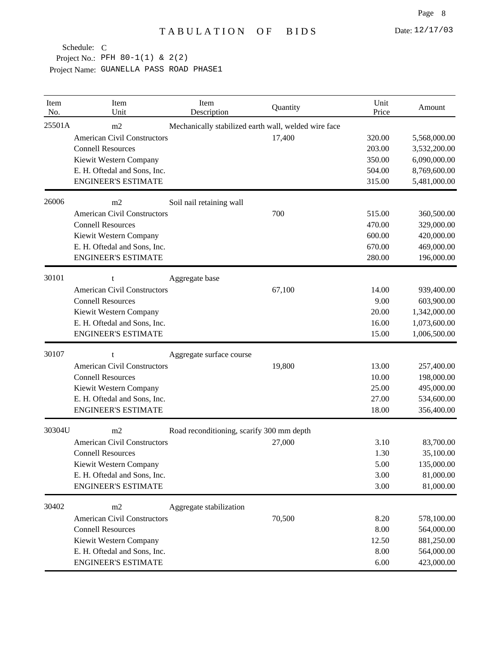Project No.: PFH 80-1(1) & 2(2)

| Item<br>No. | Item<br>Unit                       | Item<br>Description                                  | Quantity | Unit<br>Price | Amount       |
|-------------|------------------------------------|------------------------------------------------------|----------|---------------|--------------|
| 25501A      | m2                                 | Mechanically stabilized earth wall, welded wire face |          |               |              |
|             | <b>American Civil Constructors</b> |                                                      | 17,400   | 320.00        | 5,568,000.00 |
|             | <b>Connell Resources</b>           |                                                      |          | 203.00        | 3,532,200.00 |
|             | Kiewit Western Company             |                                                      |          | 350.00        | 6,090,000.00 |
|             | E. H. Oftedal and Sons, Inc.       |                                                      |          | 504.00        | 8,769,600.00 |
|             | <b>ENGINEER'S ESTIMATE</b>         |                                                      |          | 315.00        | 5,481,000.00 |
| 26006       | m2                                 | Soil nail retaining wall                             |          |               |              |
|             | <b>American Civil Constructors</b> |                                                      | 700      | 515.00        | 360,500.00   |
|             | <b>Connell Resources</b>           |                                                      |          | 470.00        | 329,000.00   |
|             | Kiewit Western Company             |                                                      |          | 600.00        | 420,000.00   |
|             | E. H. Oftedal and Sons, Inc.       |                                                      |          | 670.00        | 469,000.00   |
|             | <b>ENGINEER'S ESTIMATE</b>         |                                                      |          | 280.00        | 196,000.00   |
| 30101       | t                                  | Aggregate base                                       |          |               |              |
|             | <b>American Civil Constructors</b> |                                                      | 67,100   | 14.00         | 939,400.00   |
|             | <b>Connell Resources</b>           |                                                      |          | 9.00          | 603,900.00   |
|             | Kiewit Western Company             |                                                      |          | 20.00         | 1,342,000.00 |
|             | E. H. Oftedal and Sons, Inc.       |                                                      |          | 16.00         | 1,073,600.00 |
|             | <b>ENGINEER'S ESTIMATE</b>         |                                                      |          | 15.00         | 1,006,500.00 |
| 30107       | t                                  | Aggregate surface course                             |          |               |              |
|             | <b>American Civil Constructors</b> |                                                      | 19,800   | 13.00         | 257,400.00   |
|             | <b>Connell Resources</b>           |                                                      |          | 10.00         | 198,000.00   |
|             | Kiewit Western Company             |                                                      |          | 25.00         | 495,000.00   |
|             | E. H. Oftedal and Sons, Inc.       |                                                      |          | 27.00         | 534,600.00   |
|             | <b>ENGINEER'S ESTIMATE</b>         |                                                      |          | 18.00         | 356,400.00   |
| 30304U      | m2                                 | Road reconditioning, scarify 300 mm depth            |          |               |              |
|             | <b>American Civil Constructors</b> |                                                      | 27,000   | 3.10          | 83,700.00    |
|             | <b>Connell Resources</b>           |                                                      |          | 1.30          | 35,100.00    |
|             | Kiewit Western Company             |                                                      |          | 5.00          | 135,000.00   |
|             | E. H. Oftedal and Sons, Inc.       |                                                      |          | 3.00          | 81,000.00    |
|             | <b>ENGINEER'S ESTIMATE</b>         |                                                      |          | 3.00          | 81,000.00    |
| 30402       | m2                                 | Aggregate stabilization                              |          |               |              |
|             | <b>American Civil Constructors</b> |                                                      | 70,500   | 8.20          | 578,100.00   |
|             | <b>Connell Resources</b>           |                                                      |          | 8.00          | 564,000.00   |
|             | Kiewit Western Company             |                                                      |          | 12.50         | 881,250.00   |
|             | E. H. Oftedal and Sons, Inc.       |                                                      |          | 8.00          | 564,000.00   |
|             | <b>ENGINEER'S ESTIMATE</b>         |                                                      |          | 6.00          | 423,000.00   |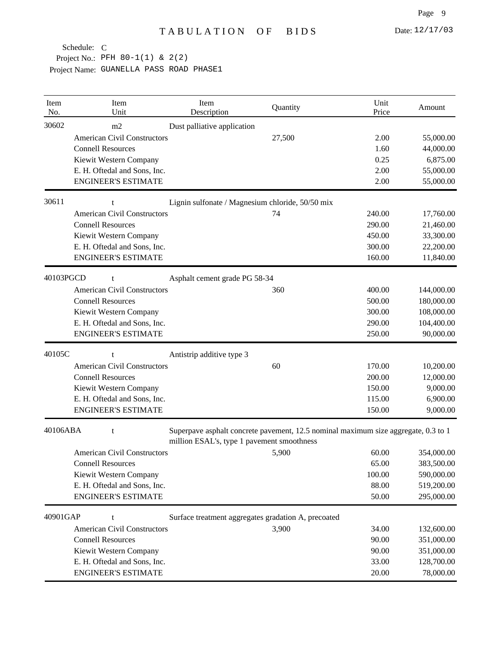| Item<br>No. | Item<br>Unit                       | Item<br>Description                                                                                                              | Quantity | Unit<br>Price | Amount     |
|-------------|------------------------------------|----------------------------------------------------------------------------------------------------------------------------------|----------|---------------|------------|
| 30602       | m2                                 | Dust palliative application                                                                                                      |          |               |            |
|             | <b>American Civil Constructors</b> |                                                                                                                                  | 27,500   | 2.00          | 55,000.00  |
|             | <b>Connell Resources</b>           |                                                                                                                                  |          | 1.60          | 44,000.00  |
|             | Kiewit Western Company             |                                                                                                                                  |          | 0.25          | 6,875.00   |
|             | E. H. Oftedal and Sons, Inc.       |                                                                                                                                  |          | 2.00          | 55,000.00  |
|             | <b>ENGINEER'S ESTIMATE</b>         |                                                                                                                                  |          | 2.00          | 55,000.00  |
| 30611       | t                                  | Lignin sulfonate / Magnesium chloride, 50/50 mix                                                                                 |          |               |            |
|             | <b>American Civil Constructors</b> |                                                                                                                                  | 74       | 240.00        | 17,760.00  |
|             | <b>Connell Resources</b>           |                                                                                                                                  |          | 290.00        | 21,460.00  |
|             | Kiewit Western Company             |                                                                                                                                  |          | 450.00        | 33,300.00  |
|             | E. H. Oftedal and Sons, Inc.       |                                                                                                                                  |          | 300.00        | 22,200.00  |
|             | <b>ENGINEER'S ESTIMATE</b>         |                                                                                                                                  |          | 160.00        | 11,840.00  |
| 40103PGCD   | t                                  | Asphalt cement grade PG 58-34                                                                                                    |          |               |            |
|             | <b>American Civil Constructors</b> |                                                                                                                                  | 360      | 400.00        | 144,000.00 |
|             | <b>Connell Resources</b>           |                                                                                                                                  |          | 500.00        | 180,000.00 |
|             | Kiewit Western Company             |                                                                                                                                  |          | 300.00        | 108,000.00 |
|             | E. H. Oftedal and Sons, Inc.       |                                                                                                                                  |          | 290.00        | 104,400.00 |
|             | <b>ENGINEER'S ESTIMATE</b>         |                                                                                                                                  |          | 250.00        | 90,000.00  |
| 40105C      | t                                  | Antistrip additive type 3                                                                                                        |          |               |            |
|             | <b>American Civil Constructors</b> |                                                                                                                                  | 60       | 170.00        | 10,200.00  |
|             | <b>Connell Resources</b>           |                                                                                                                                  |          | 200.00        | 12,000.00  |
|             | Kiewit Western Company             |                                                                                                                                  |          | 150.00        | 9,000.00   |
|             | E. H. Oftedal and Sons, Inc.       |                                                                                                                                  |          | 115.00        | 6,900.00   |
|             | <b>ENGINEER'S ESTIMATE</b>         |                                                                                                                                  |          | 150.00        | 9,000.00   |
| 40106ABA    | t                                  | Superpave asphalt concrete pavement, 12.5 nominal maximum size aggregate, 0.3 to 1<br>million ESAL's, type 1 pavement smoothness |          |               |            |
|             | <b>American Civil Constructors</b> |                                                                                                                                  | 5,900    | 60.00         | 354,000.00 |
|             | <b>Connell Resources</b>           |                                                                                                                                  |          | 65.00         | 383,500.00 |
|             | Kiewit Western Company             |                                                                                                                                  |          | 100.00        | 590,000.00 |
|             | E. H. Oftedal and Sons, Inc.       |                                                                                                                                  |          | 88.00         | 519,200.00 |
|             | <b>ENGINEER'S ESTIMATE</b>         |                                                                                                                                  |          | 50.00         | 295,000.00 |
| 40901GAP    | t                                  | Surface treatment aggregates gradation A, precoated                                                                              |          |               |            |
|             | <b>American Civil Constructors</b> |                                                                                                                                  | 3,900    | 34.00         | 132,600.00 |
|             | <b>Connell Resources</b>           |                                                                                                                                  |          | 90.00         | 351,000.00 |
|             | Kiewit Western Company             |                                                                                                                                  |          | 90.00         | 351,000.00 |
|             | E. H. Oftedal and Sons, Inc.       |                                                                                                                                  |          | 33.00         | 128,700.00 |
|             | <b>ENGINEER'S ESTIMATE</b>         |                                                                                                                                  |          | 20.00         | 78,000.00  |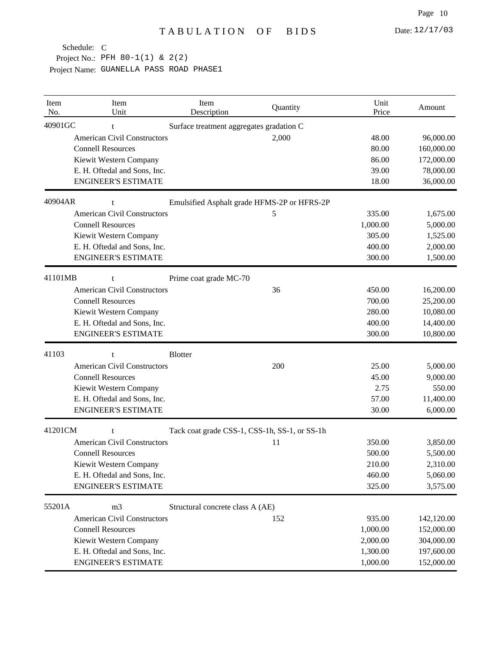| Item<br>No. | Item<br>Unit                       | Item<br>Description                           | Quantity                                    | Unit<br>Price | Amount     |
|-------------|------------------------------------|-----------------------------------------------|---------------------------------------------|---------------|------------|
| 40901GC     | t                                  | Surface treatment aggregates gradation C      |                                             |               |            |
|             | <b>American Civil Constructors</b> |                                               | 2,000                                       | 48.00         | 96,000.00  |
|             | <b>Connell Resources</b>           |                                               |                                             | 80.00         | 160,000.00 |
|             | Kiewit Western Company             |                                               |                                             | 86.00         | 172,000.00 |
|             | E. H. Oftedal and Sons, Inc.       |                                               |                                             | 39.00         | 78,000.00  |
|             | <b>ENGINEER'S ESTIMATE</b>         |                                               |                                             | 18.00         | 36,000.00  |
| 40904AR     | t                                  |                                               | Emulsified Asphalt grade HFMS-2P or HFRS-2P |               |            |
|             | <b>American Civil Constructors</b> |                                               | 5                                           | 335.00        | 1,675.00   |
|             | <b>Connell Resources</b>           |                                               |                                             | 1,000.00      | 5,000.00   |
|             | Kiewit Western Company             |                                               |                                             | 305.00        | 1,525.00   |
|             | E. H. Oftedal and Sons, Inc.       |                                               |                                             | 400.00        | 2,000.00   |
|             | <b>ENGINEER'S ESTIMATE</b>         |                                               |                                             | 300.00        | 1,500.00   |
| 41101MB     | $\mathbf{f}$                       | Prime coat grade MC-70                        |                                             |               |            |
|             | <b>American Civil Constructors</b> |                                               | 36                                          | 450.00        | 16,200.00  |
|             | <b>Connell Resources</b>           |                                               |                                             | 700.00        | 25,200.00  |
|             | Kiewit Western Company             |                                               |                                             | 280.00        | 10,080.00  |
|             | E. H. Oftedal and Sons, Inc.       |                                               |                                             | 400.00        | 14,400.00  |
|             | <b>ENGINEER'S ESTIMATE</b>         |                                               |                                             | 300.00        | 10,800.00  |
| 41103       | t                                  | <b>Blotter</b>                                |                                             |               |            |
|             | <b>American Civil Constructors</b> |                                               | 200                                         | 25.00         | 5,000.00   |
|             | <b>Connell Resources</b>           |                                               |                                             | 45.00         | 9,000.00   |
|             | Kiewit Western Company             |                                               |                                             | 2.75          | 550.00     |
|             | E. H. Oftedal and Sons, Inc.       |                                               |                                             | 57.00         | 11,400.00  |
|             | <b>ENGINEER'S ESTIMATE</b>         |                                               |                                             | 30.00         | 6,000.00   |
| 41201CM     | t                                  | Tack coat grade CSS-1, CSS-1h, SS-1, or SS-1h |                                             |               |            |
|             | <b>American Civil Constructors</b> |                                               | 11                                          | 350.00        | 3,850.00   |
|             | <b>Connell Resources</b>           |                                               |                                             | 500.00        | 5,500.00   |
|             | Kiewit Western Company             |                                               |                                             | 210.00        | 2,310.00   |
|             | E. H. Oftedal and Sons, Inc.       |                                               |                                             | 460.00        | 5,060.00   |
|             | <b>ENGINEER'S ESTIMATE</b>         |                                               |                                             | 325.00        | 3,575.00   |
| 55201A      | m <sub>3</sub>                     | Structural concrete class A (AE)              |                                             |               |            |
|             | <b>American Civil Constructors</b> |                                               | 152                                         | 935.00        | 142,120.00 |
|             | <b>Connell Resources</b>           |                                               |                                             | 1,000.00      | 152,000.00 |
|             | Kiewit Western Company             |                                               |                                             | 2,000.00      | 304,000.00 |
|             | E. H. Oftedal and Sons, Inc.       |                                               |                                             | 1,300.00      | 197,600.00 |
|             | <b>ENGINEER'S ESTIMATE</b>         |                                               |                                             | 1,000.00      | 152,000.00 |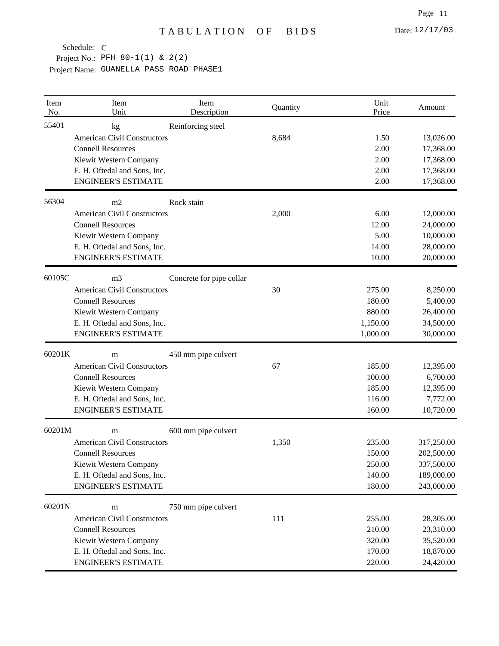| Item<br>No. | Item<br>Unit                       | Item<br>Description      | Quantity | Unit<br>Price | Amount     |
|-------------|------------------------------------|--------------------------|----------|---------------|------------|
| 55401       | kg                                 | Reinforcing steel        |          |               |            |
|             | <b>American Civil Constructors</b> |                          | 8,684    | 1.50          | 13,026.00  |
|             | <b>Connell Resources</b>           |                          |          | 2.00          | 17,368.00  |
|             | Kiewit Western Company             |                          |          | 2.00          | 17,368.00  |
|             | E. H. Oftedal and Sons, Inc.       |                          |          | 2.00          | 17,368.00  |
|             | <b>ENGINEER'S ESTIMATE</b>         |                          |          | 2.00          | 17,368.00  |
| 56304       | m2                                 | Rock stain               |          |               |            |
|             | <b>American Civil Constructors</b> |                          | 2,000    | 6.00          | 12,000.00  |
|             | <b>Connell Resources</b>           |                          |          | 12.00         | 24,000.00  |
|             | Kiewit Western Company             |                          |          | 5.00          | 10,000.00  |
|             | E. H. Oftedal and Sons, Inc.       |                          |          | 14.00         | 28,000.00  |
|             | <b>ENGINEER'S ESTIMATE</b>         |                          |          | 10.00         | 20,000.00  |
| 60105C      | m <sub>3</sub>                     | Concrete for pipe collar |          |               |            |
|             | <b>American Civil Constructors</b> |                          | 30       | 275.00        | 8,250.00   |
|             | <b>Connell Resources</b>           |                          |          | 180.00        | 5,400.00   |
|             | Kiewit Western Company             |                          |          | 880.00        | 26,400.00  |
|             | E. H. Oftedal and Sons, Inc.       |                          |          | 1,150.00      | 34,500.00  |
|             | <b>ENGINEER'S ESTIMATE</b>         |                          |          | 1,000.00      | 30,000.00  |
| 60201K      | m                                  | 450 mm pipe culvert      |          |               |            |
|             | <b>American Civil Constructors</b> |                          | 67       | 185.00        | 12,395.00  |
|             | <b>Connell Resources</b>           |                          |          | 100.00        | 6,700.00   |
|             | Kiewit Western Company             |                          |          | 185.00        | 12,395.00  |
|             | E. H. Oftedal and Sons, Inc.       |                          |          | 116.00        | 7,772.00   |
|             | <b>ENGINEER'S ESTIMATE</b>         |                          |          | 160.00        | 10,720.00  |
| 60201M      | m                                  | 600 mm pipe culvert      |          |               |            |
|             | <b>American Civil Constructors</b> |                          | 1,350    | 235.00        | 317,250.00 |
|             | <b>Connell Resources</b>           |                          |          | 150.00        | 202,500.00 |
|             | Kiewit Western Company             |                          |          | 250.00        | 337,500.00 |
|             | E. H. Oftedal and Sons, Inc.       |                          |          | 140.00        | 189,000.00 |
|             | <b>ENGINEER'S ESTIMATE</b>         |                          |          | 180.00        | 243,000.00 |
| 60201N      | m                                  | 750 mm pipe culvert      |          |               |            |
|             | <b>American Civil Constructors</b> |                          | 111      | 255.00        | 28,305.00  |
|             | <b>Connell Resources</b>           |                          |          | 210.00        | 23,310.00  |
|             | Kiewit Western Company             |                          |          | 320.00        | 35,520.00  |
|             | E. H. Oftedal and Sons, Inc.       |                          |          | 170.00        | 18,870.00  |
|             | <b>ENGINEER'S ESTIMATE</b>         |                          |          | 220.00        | 24,420.00  |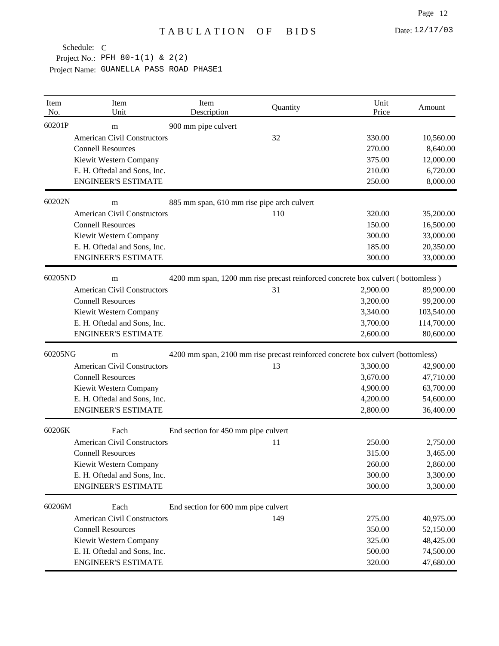Project No.: PFH 80-1(1) & 2(2)

| Item<br>No. | Item<br>Unit                       | Item<br>Description                        | Quantity | Unit<br>Price                                                                   | Amount     |
|-------------|------------------------------------|--------------------------------------------|----------|---------------------------------------------------------------------------------|------------|
| 60201P      | m                                  | 900 mm pipe culvert                        |          |                                                                                 |            |
|             | <b>American Civil Constructors</b> |                                            | 32       | 330.00                                                                          | 10,560.00  |
|             | <b>Connell Resources</b>           |                                            |          | 270.00                                                                          | 8,640.00   |
|             | Kiewit Western Company             |                                            |          | 375.00                                                                          | 12,000.00  |
|             | E. H. Oftedal and Sons, Inc.       |                                            |          | 210.00                                                                          | 6,720.00   |
|             | <b>ENGINEER'S ESTIMATE</b>         |                                            |          | 250.00                                                                          | 8,000.00   |
| 60202N      | m                                  | 885 mm span, 610 mm rise pipe arch culvert |          |                                                                                 |            |
|             | <b>American Civil Constructors</b> |                                            | 110      | 320.00                                                                          | 35,200.00  |
|             | <b>Connell Resources</b>           |                                            |          | 150.00                                                                          | 16,500.00  |
|             | Kiewit Western Company             |                                            |          | 300.00                                                                          | 33,000.00  |
|             | E. H. Oftedal and Sons, Inc.       |                                            |          | 185.00                                                                          | 20,350.00  |
|             | <b>ENGINEER'S ESTIMATE</b>         |                                            |          | 300.00                                                                          | 33,000.00  |
| 60205ND     | m                                  |                                            |          | 4200 mm span, 1200 mm rise precast reinforced concrete box culvert (bottomless) |            |
|             | <b>American Civil Constructors</b> |                                            | 31       | 2,900.00                                                                        | 89,900.00  |
|             | <b>Connell Resources</b>           |                                            |          | 3,200.00                                                                        | 99,200.00  |
|             | Kiewit Western Company             |                                            |          | 3,340.00                                                                        | 103,540.00 |
|             | E. H. Oftedal and Sons, Inc.       |                                            |          | 3,700.00                                                                        | 114,700.00 |
|             | <b>ENGINEER'S ESTIMATE</b>         |                                            |          | 2,600.00                                                                        | 80,600.00  |
| 60205NG     | m                                  |                                            |          | 4200 mm span, 2100 mm rise precast reinforced concrete box culvert (bottomless) |            |
|             | <b>American Civil Constructors</b> |                                            | 13       | 3,300.00                                                                        | 42,900.00  |
|             | <b>Connell Resources</b>           |                                            |          | 3,670.00                                                                        | 47,710.00  |
|             | Kiewit Western Company             |                                            |          | 4,900.00                                                                        | 63,700.00  |
|             | E. H. Oftedal and Sons, Inc.       |                                            |          | 4,200.00                                                                        | 54,600.00  |
|             | <b>ENGINEER'S ESTIMATE</b>         |                                            |          | 2,800.00                                                                        | 36,400.00  |
| 60206K      | Each                               | End section for 450 mm pipe culvert        |          |                                                                                 |            |
|             | <b>American Civil Constructors</b> |                                            | 11       | 250.00                                                                          | 2,750.00   |
|             | <b>Connell Resources</b>           |                                            |          | 315.00                                                                          | 3,465.00   |
|             | Kiewit Western Company             |                                            |          | 260.00                                                                          | 2,860.00   |
|             | E. H. Oftedal and Sons, Inc.       |                                            |          | 300.00                                                                          | 3,300.00   |
|             | <b>ENGINEER'S ESTIMATE</b>         |                                            |          | 300.00                                                                          | 3,300.00   |
| 60206M      | Each                               | End section for 600 mm pipe culvert        |          |                                                                                 |            |
|             | <b>American Civil Constructors</b> |                                            | 149      | 275.00                                                                          | 40,975.00  |
|             | <b>Connell Resources</b>           |                                            |          | 350.00                                                                          | 52,150.00  |
|             | Kiewit Western Company             |                                            |          | 325.00                                                                          | 48,425.00  |
|             | E. H. Oftedal and Sons, Inc.       |                                            |          | 500.00                                                                          | 74,500.00  |
|             | <b>ENGINEER'S ESTIMATE</b>         |                                            |          | 320.00                                                                          | 47,680.00  |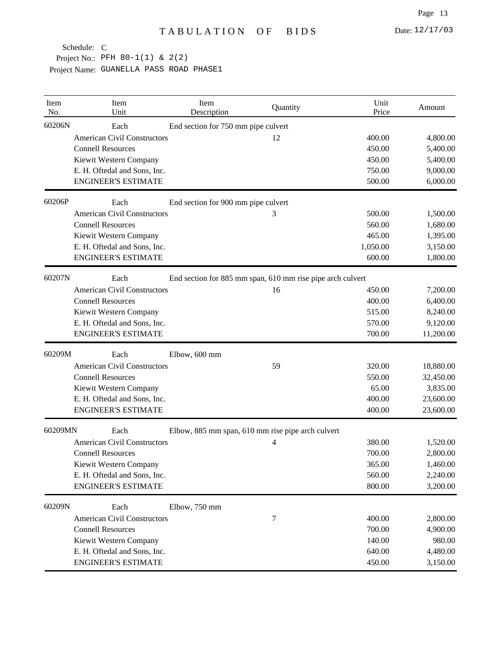| Item<br>No. | Item<br>Unit                       | Item<br>Description                 | Quantity                                                   | Unit<br>Price | Amount    |
|-------------|------------------------------------|-------------------------------------|------------------------------------------------------------|---------------|-----------|
| 60206N      | Each                               | End section for 750 mm pipe culvert |                                                            |               |           |
|             | <b>American Civil Constructors</b> |                                     | 12                                                         | 400.00        | 4,800.00  |
|             | <b>Connell Resources</b>           |                                     |                                                            | 450.00        | 5,400.00  |
|             | Kiewit Western Company             |                                     |                                                            | 450.00        | 5,400.00  |
|             | E. H. Oftedal and Sons, Inc.       |                                     |                                                            | 750.00        | 9,000.00  |
|             | <b>ENGINEER'S ESTIMATE</b>         |                                     |                                                            | 500.00        | 6,000.00  |
| 60206P      | Each                               | End section for 900 mm pipe culvert |                                                            |               |           |
|             | <b>American Civil Constructors</b> |                                     | 3                                                          | 500.00        | 1,500.00  |
|             | <b>Connell Resources</b>           |                                     |                                                            | 560.00        | 1,680.00  |
|             | Kiewit Western Company             |                                     |                                                            | 465.00        | 1,395.00  |
|             | E. H. Oftedal and Sons, Inc.       |                                     |                                                            | 1,050.00      | 3,150.00  |
|             | <b>ENGINEER'S ESTIMATE</b>         |                                     |                                                            | 600.00        | 1,800.00  |
| 60207N      | Each                               |                                     | End section for 885 mm span, 610 mm rise pipe arch culvert |               |           |
|             | <b>American Civil Constructors</b> |                                     | 16                                                         | 450.00        | 7,200.00  |
|             | <b>Connell Resources</b>           |                                     |                                                            | 400.00        | 6,400.00  |
|             | Kiewit Western Company             |                                     |                                                            | 515.00        | 8,240.00  |
|             | E. H. Oftedal and Sons, Inc.       |                                     |                                                            | 570.00        | 9,120.00  |
|             | <b>ENGINEER'S ESTIMATE</b>         |                                     |                                                            | 700.00        | 11,200.00 |
| 60209M      | Each                               | Elbow, 600 mm                       |                                                            |               |           |
|             | <b>American Civil Constructors</b> |                                     | 59                                                         | 320.00        | 18,880.00 |
|             | <b>Connell Resources</b>           |                                     |                                                            | 550.00        | 32,450.00 |
|             | Kiewit Western Company             |                                     |                                                            | 65.00         | 3,835.00  |
|             | E. H. Oftedal and Sons, Inc.       |                                     |                                                            | 400.00        | 23,600.00 |
|             | <b>ENGINEER'S ESTIMATE</b>         |                                     |                                                            | 400.00        | 23,600.00 |
| 60209MN     | Each                               |                                     | Elbow, 885 mm span, 610 mm rise pipe arch culvert          |               |           |
|             | <b>American Civil Constructors</b> |                                     | 4                                                          | 380.00        | 1,520.00  |
|             | <b>Connell Resources</b>           |                                     |                                                            | 700.00        | 2,800.00  |
|             | Kiewit Western Company             |                                     |                                                            | 365.00        | 1,460.00  |
|             | E. H. Oftedal and Sons, Inc.       |                                     |                                                            | 560.00        | 2,240.00  |
|             | <b>ENGINEER'S ESTIMATE</b>         |                                     |                                                            | 800.00        | 3,200.00  |
| 60209N      | Each                               | Elbow, 750 mm                       |                                                            |               |           |
|             | <b>American Civil Constructors</b> |                                     | 7                                                          | 400.00        | 2,800.00  |
|             | <b>Connell Resources</b>           |                                     |                                                            | 700.00        | 4,900.00  |
|             | Kiewit Western Company             |                                     |                                                            | 140.00        | 980.00    |
|             | E. H. Oftedal and Sons, Inc.       |                                     |                                                            | 640.00        | 4,480.00  |
|             | <b>ENGINEER'S ESTIMATE</b>         |                                     |                                                            | 450.00        | 3,150.00  |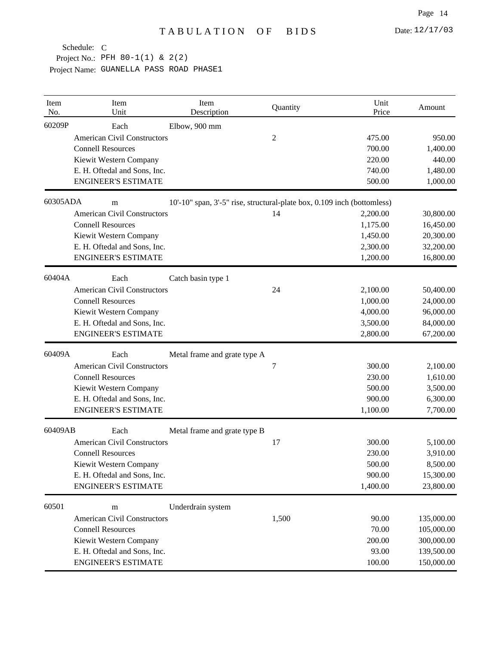Project No.: PFH 80-1(1) & 2(2) Schedule: C

| Item<br>No. | Item<br>Unit                       | Item<br>Description                                                     | Quantity | Unit<br>Price | Amount     |
|-------------|------------------------------------|-------------------------------------------------------------------------|----------|---------------|------------|
| 60209P      | Each                               | Elbow, 900 mm                                                           |          |               |            |
|             | <b>American Civil Constructors</b> |                                                                         | 2        | 475.00        | 950.00     |
|             | <b>Connell Resources</b>           |                                                                         |          | 700.00        | 1,400.00   |
|             | Kiewit Western Company             |                                                                         |          | 220.00        | 440.00     |
|             | E. H. Oftedal and Sons, Inc.       |                                                                         |          | 740.00        | 1,480.00   |
|             | <b>ENGINEER'S ESTIMATE</b>         |                                                                         |          | 500.00        | 1,000.00   |
| 60305ADA    | m                                  | 10'-10" span, 3'-5" rise, structural-plate box, 0.109 inch (bottomless) |          |               |            |
|             | <b>American Civil Constructors</b> |                                                                         | 14       | 2,200.00      | 30,800.00  |
|             | <b>Connell Resources</b>           |                                                                         |          | 1,175.00      | 16,450.00  |
|             | Kiewit Western Company             |                                                                         |          | 1,450.00      | 20,300.00  |
|             | E. H. Oftedal and Sons, Inc.       |                                                                         |          | 2,300.00      | 32,200.00  |
|             | <b>ENGINEER'S ESTIMATE</b>         |                                                                         |          | 1,200.00      | 16,800.00  |
| 60404A      | Each                               | Catch basin type 1                                                      |          |               |            |
|             | <b>American Civil Constructors</b> |                                                                         | 24       | 2,100.00      | 50,400.00  |
|             | <b>Connell Resources</b>           |                                                                         |          | 1,000.00      | 24,000.00  |
|             | Kiewit Western Company             |                                                                         |          | 4,000.00      | 96,000.00  |
|             | E. H. Oftedal and Sons, Inc.       |                                                                         |          | 3,500.00      | 84,000.00  |
|             | <b>ENGINEER'S ESTIMATE</b>         |                                                                         |          | 2,800.00      | 67,200.00  |
| 60409A      | Each                               | Metal frame and grate type A                                            |          |               |            |
|             | <b>American Civil Constructors</b> |                                                                         | 7        | 300.00        | 2,100.00   |
|             | <b>Connell Resources</b>           |                                                                         |          | 230.00        | 1,610.00   |
|             | Kiewit Western Company             |                                                                         |          | 500.00        | 3,500.00   |
|             | E. H. Oftedal and Sons, Inc.       |                                                                         |          | 900.00        | 6,300.00   |
|             | <b>ENGINEER'S ESTIMATE</b>         |                                                                         |          | 1,100.00      | 7,700.00   |
| 60409AB     | Each                               | Metal frame and grate type B                                            |          |               |            |
|             | <b>American Civil Constructors</b> |                                                                         | 17       | 300.00        | 5,100.00   |
|             | <b>Connell Resources</b>           |                                                                         |          | 230.00        | 3,910.00   |
|             | Kiewit Western Company             |                                                                         |          | 500.00        | 8,500.00   |
|             | E. H. Oftedal and Sons, Inc.       |                                                                         |          | 900.00        | 15,300.00  |
|             | <b>ENGINEER'S ESTIMATE</b>         |                                                                         |          | 1,400.00      | 23,800.00  |
| 60501       | m                                  | Underdrain system                                                       |          |               |            |
|             | <b>American Civil Constructors</b> |                                                                         | 1,500    | 90.00         | 135,000.00 |
|             | <b>Connell Resources</b>           |                                                                         |          | 70.00         | 105,000.00 |
|             | Kiewit Western Company             |                                                                         |          | 200.00        | 300,000.00 |
|             | E. H. Oftedal and Sons, Inc.       |                                                                         |          | 93.00         | 139,500.00 |
|             | <b>ENGINEER'S ESTIMATE</b>         |                                                                         |          | 100.00        | 150,000.00 |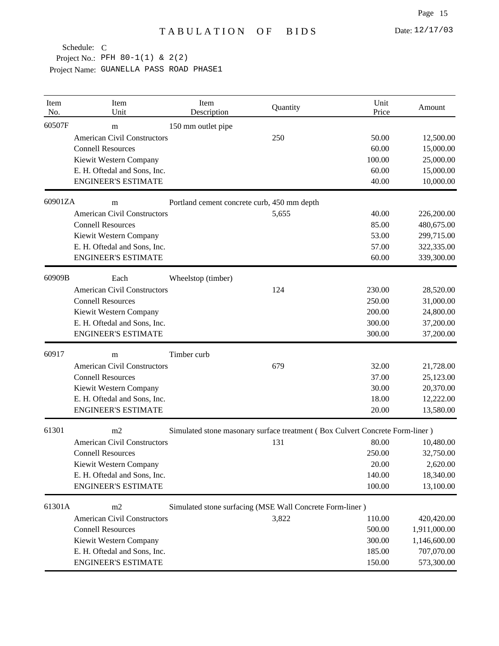| Item<br>No. | Item<br>Unit                       | Item<br>Description                         | Quantity                                                                     | Unit<br>Price | Amount       |
|-------------|------------------------------------|---------------------------------------------|------------------------------------------------------------------------------|---------------|--------------|
| 60507F      | m                                  | 150 mm outlet pipe                          |                                                                              |               |              |
|             | <b>American Civil Constructors</b> |                                             | 250                                                                          | 50.00         | 12,500.00    |
|             | <b>Connell Resources</b>           |                                             |                                                                              | 60.00         | 15,000.00    |
|             | Kiewit Western Company             |                                             |                                                                              | 100.00        | 25,000.00    |
|             | E. H. Oftedal and Sons, Inc.       |                                             |                                                                              | 60.00         | 15,000.00    |
|             | <b>ENGINEER'S ESTIMATE</b>         |                                             |                                                                              | 40.00         | 10,000.00    |
| 60901ZA     | m                                  | Portland cement concrete curb, 450 mm depth |                                                                              |               |              |
|             | <b>American Civil Constructors</b> |                                             | 5,655                                                                        | 40.00         | 226,200.00   |
|             | <b>Connell Resources</b>           |                                             |                                                                              | 85.00         | 480,675.00   |
|             | Kiewit Western Company             |                                             |                                                                              | 53.00         | 299,715.00   |
|             | E. H. Oftedal and Sons, Inc.       |                                             |                                                                              | 57.00         | 322,335.00   |
|             | <b>ENGINEER'S ESTIMATE</b>         |                                             |                                                                              | 60.00         | 339,300.00   |
| 60909B      | Each                               | Wheelstop (timber)                          |                                                                              |               |              |
|             | <b>American Civil Constructors</b> |                                             | 124                                                                          | 230.00        | 28,520.00    |
|             | <b>Connell Resources</b>           |                                             |                                                                              | 250.00        | 31,000.00    |
|             | Kiewit Western Company             |                                             |                                                                              | 200.00        | 24,800.00    |
|             | E. H. Oftedal and Sons, Inc.       |                                             |                                                                              | 300.00        | 37,200.00    |
|             | <b>ENGINEER'S ESTIMATE</b>         |                                             |                                                                              | 300.00        | 37,200.00    |
| 60917       | m                                  | Timber curb                                 |                                                                              |               |              |
|             | <b>American Civil Constructors</b> |                                             | 679                                                                          | 32.00         | 21,728.00    |
|             | <b>Connell Resources</b>           |                                             |                                                                              | 37.00         | 25,123.00    |
|             | Kiewit Western Company             |                                             |                                                                              | 30.00         | 20,370.00    |
|             | E. H. Oftedal and Sons, Inc.       |                                             |                                                                              | 18.00         | 12,222.00    |
|             | <b>ENGINEER'S ESTIMATE</b>         |                                             |                                                                              | 20.00         | 13,580.00    |
| 61301       | m <sub>2</sub>                     |                                             | Simulated stone masonary surface treatment (Box Culvert Concrete Form-liner) |               |              |
|             | <b>American Civil Constructors</b> |                                             | 131                                                                          | 80.00         | 10,480.00    |
|             | <b>Connell Resources</b>           |                                             |                                                                              | 250.00        | 32,750.00    |
|             | Kiewit Western Company             |                                             |                                                                              | 20.00         | 2,620.00     |
|             | E. H. Oftedal and Sons, Inc.       |                                             |                                                                              | 140.00        | 18,340.00    |
|             | <b>ENGINEER'S ESTIMATE</b>         |                                             |                                                                              | 100.00        | 13,100.00    |
| 61301A      | m2                                 |                                             | Simulated stone surfacing (MSE Wall Concrete Form-liner)                     |               |              |
|             | <b>American Civil Constructors</b> |                                             | 3,822                                                                        | 110.00        | 420,420.00   |
|             | <b>Connell Resources</b>           |                                             |                                                                              | 500.00        | 1,911,000.00 |
|             | Kiewit Western Company             |                                             |                                                                              | 300.00        | 1,146,600.00 |
|             | E. H. Oftedal and Sons, Inc.       |                                             |                                                                              | 185.00        | 707,070.00   |
|             | <b>ENGINEER'S ESTIMATE</b>         |                                             |                                                                              | 150.00        | 573,300.00   |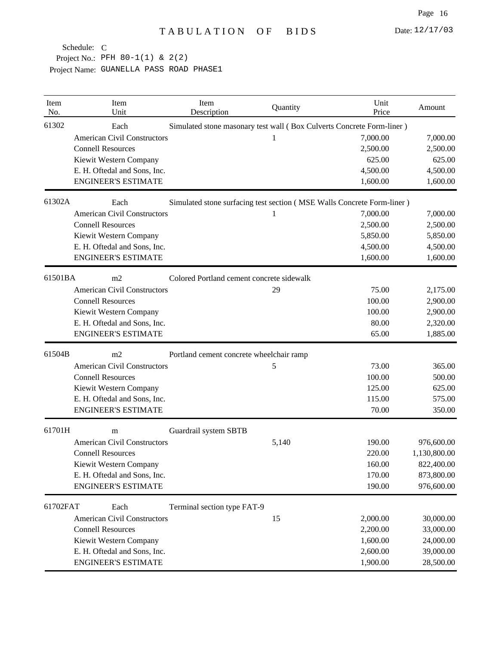Project No.: PFH 80-1(1) & 2(2)

| Item<br>No. | Item<br>Unit                                   | Item<br>Description                                                    | Quantity | Unit<br>Price | Amount       |  |
|-------------|------------------------------------------------|------------------------------------------------------------------------|----------|---------------|--------------|--|
| 61302       | Each                                           | Simulated stone masonary test wall (Box Culverts Concrete Form-liner)  |          |               |              |  |
|             | <b>American Civil Constructors</b>             |                                                                        | 1        | 7,000.00      | 7,000.00     |  |
|             | <b>Connell Resources</b>                       |                                                                        |          | 2,500.00      | 2,500.00     |  |
|             | Kiewit Western Company                         |                                                                        |          | 625.00        | 625.00       |  |
|             | E. H. Oftedal and Sons, Inc.                   |                                                                        |          | 4,500.00      | 4,500.00     |  |
|             | <b>ENGINEER'S ESTIMATE</b>                     |                                                                        |          | 1,600.00      | 1,600.00     |  |
| 61302A      | Each                                           | Simulated stone surfacing test section (MSE Walls Concrete Form-liner) |          |               |              |  |
|             | <b>American Civil Constructors</b>             |                                                                        | 1        | 7,000.00      | 7,000.00     |  |
|             | <b>Connell Resources</b>                       |                                                                        |          | 2,500.00      | 2,500.00     |  |
|             | Kiewit Western Company                         |                                                                        |          | 5,850.00      | 5,850.00     |  |
|             | E. H. Oftedal and Sons, Inc.                   |                                                                        |          | 4,500.00      | 4,500.00     |  |
|             | <b>ENGINEER'S ESTIMATE</b>                     |                                                                        |          | 1,600.00      | 1,600.00     |  |
| 61501BA     | m2                                             | Colored Portland cement concrete sidewalk                              |          |               |              |  |
|             | <b>American Civil Constructors</b>             |                                                                        | 29       | 75.00         | 2,175.00     |  |
|             | <b>Connell Resources</b>                       |                                                                        |          | 100.00        | 2,900.00     |  |
|             | Kiewit Western Company                         |                                                                        |          | 100.00        | 2,900.00     |  |
|             | E. H. Oftedal and Sons, Inc.                   |                                                                        |          | 80.00         | 2,320.00     |  |
|             | <b>ENGINEER'S ESTIMATE</b>                     |                                                                        |          | 65.00         | 1,885.00     |  |
| 61504B      | m2<br>Portland cement concrete wheelchair ramp |                                                                        |          |               |              |  |
|             | <b>American Civil Constructors</b>             |                                                                        | 5        | 73.00         | 365.00       |  |
|             | <b>Connell Resources</b>                       |                                                                        |          | 100.00        | 500.00       |  |
|             | Kiewit Western Company                         |                                                                        |          | 125.00        | 625.00       |  |
|             | E. H. Oftedal and Sons, Inc.                   |                                                                        |          | 115.00        | 575.00       |  |
|             | <b>ENGINEER'S ESTIMATE</b>                     |                                                                        |          | 70.00         | 350.00       |  |
| 61701H      | m                                              | Guardrail system SBTB                                                  |          |               |              |  |
|             | <b>American Civil Constructors</b>             |                                                                        | 5,140    | 190.00        | 976,600.00   |  |
|             | <b>Connell Resources</b>                       |                                                                        |          | 220.00        | 1,130,800.00 |  |
|             | Kiewit Western Company                         |                                                                        |          | 160.00        | 822,400.00   |  |
|             | E. H. Oftedal and Sons, Inc.                   |                                                                        |          | 170.00        | 873,800.00   |  |
|             | <b>ENGINEER'S ESTIMATE</b>                     |                                                                        |          | 190.00        | 976,600.00   |  |
| 61702FAT    | Each                                           | Terminal section type FAT-9                                            |          |               |              |  |
|             | <b>American Civil Constructors</b>             |                                                                        | 15       | 2,000.00      | 30,000.00    |  |
|             | <b>Connell Resources</b>                       |                                                                        |          | 2,200.00      | 33,000.00    |  |
|             | Kiewit Western Company                         |                                                                        |          | 1,600.00      | 24,000.00    |  |
|             | E. H. Oftedal and Sons, Inc.                   |                                                                        |          | 2,600.00      | 39,000.00    |  |
|             | <b>ENGINEER'S ESTIMATE</b>                     |                                                                        |          | 1,900.00      | 28,500.00    |  |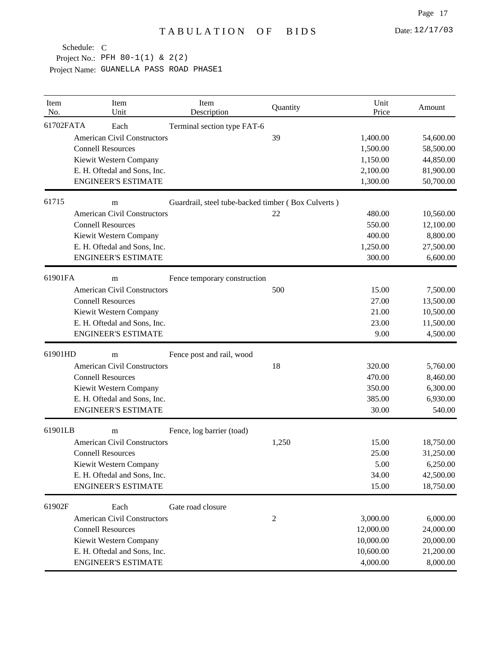Project No.: PFH 80-1(1) & 2(2)

| Item<br>No. | Item<br>Unit                       | Item<br>Description                                | Quantity | Unit<br>Price | Amount    |
|-------------|------------------------------------|----------------------------------------------------|----------|---------------|-----------|
| 61702FATA   | Each                               | Terminal section type FAT-6                        |          |               |           |
|             | <b>American Civil Constructors</b> |                                                    | 39       | 1,400.00      | 54,600.00 |
|             | <b>Connell Resources</b>           |                                                    |          | 1,500.00      | 58,500.00 |
|             | Kiewit Western Company             |                                                    |          | 1,150.00      | 44,850.00 |
|             | E. H. Oftedal and Sons, Inc.       |                                                    |          | 2,100.00      | 81,900.00 |
|             | <b>ENGINEER'S ESTIMATE</b>         |                                                    |          | 1,300.00      | 50,700.00 |
| 61715       | m                                  | Guardrail, steel tube-backed timber (Box Culverts) |          |               |           |
|             | <b>American Civil Constructors</b> |                                                    | 22       | 480.00        | 10,560.00 |
|             | <b>Connell Resources</b>           |                                                    |          | 550.00        | 12,100.00 |
|             | Kiewit Western Company             |                                                    |          | 400.00        | 8,800.00  |
|             | E. H. Oftedal and Sons, Inc.       |                                                    |          | 1,250.00      | 27,500.00 |
|             | <b>ENGINEER'S ESTIMATE</b>         |                                                    |          | 300.00        | 6,600.00  |
| 61901FA     | m                                  | Fence temporary construction                       |          |               |           |
|             | <b>American Civil Constructors</b> |                                                    | 500      | 15.00         | 7,500.00  |
|             | <b>Connell Resources</b>           |                                                    |          | 27.00         | 13,500.00 |
|             | Kiewit Western Company             |                                                    |          | 21.00         | 10,500.00 |
|             | E. H. Oftedal and Sons, Inc.       |                                                    |          | 23.00         | 11,500.00 |
|             | <b>ENGINEER'S ESTIMATE</b>         |                                                    |          | 9.00          | 4,500.00  |
| 61901HD     | m                                  | Fence post and rail, wood                          |          |               |           |
|             | <b>American Civil Constructors</b> |                                                    | 18       | 320.00        | 5,760.00  |
|             | <b>Connell Resources</b>           |                                                    |          | 470.00        | 8,460.00  |
|             | Kiewit Western Company             |                                                    |          | 350.00        | 6,300.00  |
|             | E. H. Oftedal and Sons, Inc.       |                                                    |          | 385.00        | 6,930.00  |
|             | <b>ENGINEER'S ESTIMATE</b>         |                                                    |          | 30.00         | 540.00    |
| 61901LB     | m                                  | Fence, log barrier (toad)                          |          |               |           |
|             | <b>American Civil Constructors</b> |                                                    | 1,250    | 15.00         | 18,750.00 |
|             | <b>Connell Resources</b>           |                                                    |          | 25.00         | 31,250.00 |
|             | Kiewit Western Company             |                                                    |          | 5.00          | 6,250.00  |
|             | E. H. Oftedal and Sons, Inc.       |                                                    |          | 34.00         | 42,500.00 |
|             | <b>ENGINEER'S ESTIMATE</b>         |                                                    |          | 15.00         | 18,750.00 |
| 61902F      | Each                               | Gate road closure                                  |          |               |           |
|             | <b>American Civil Constructors</b> |                                                    | 2        | 3,000.00      | 6,000.00  |
|             | <b>Connell Resources</b>           |                                                    |          | 12,000.00     | 24,000.00 |
|             | Kiewit Western Company             |                                                    |          | 10,000.00     | 20,000.00 |
|             | E. H. Oftedal and Sons, Inc.       |                                                    |          | 10,600.00     | 21,200.00 |
|             | <b>ENGINEER'S ESTIMATE</b>         |                                                    |          | 4,000.00      | 8,000.00  |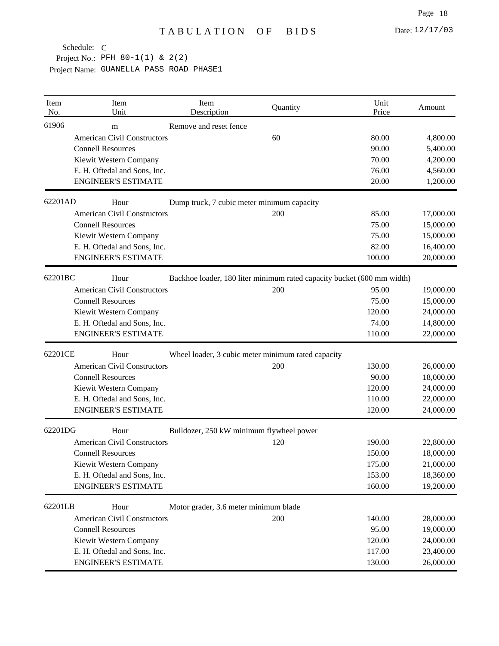| Item<br>No. | Item<br>Unit                       | Item<br>Description                                | Quantity | Unit<br>Price                                                          | Amount    |
|-------------|------------------------------------|----------------------------------------------------|----------|------------------------------------------------------------------------|-----------|
| 61906       | m                                  | Remove and reset fence                             |          |                                                                        |           |
|             | <b>American Civil Constructors</b> |                                                    | 60       | 80.00                                                                  | 4,800.00  |
|             | <b>Connell Resources</b>           |                                                    |          | 90.00                                                                  | 5,400.00  |
|             | Kiewit Western Company             |                                                    |          | 70.00                                                                  | 4,200.00  |
|             | E. H. Oftedal and Sons, Inc.       |                                                    |          | 76.00                                                                  | 4,560.00  |
|             | <b>ENGINEER'S ESTIMATE</b>         |                                                    |          | 20.00                                                                  | 1,200.00  |
| 62201AD     | Hour                               | Dump truck, 7 cubic meter minimum capacity         |          |                                                                        |           |
|             | <b>American Civil Constructors</b> |                                                    | 200      | 85.00                                                                  | 17,000.00 |
|             | <b>Connell Resources</b>           |                                                    |          | 75.00                                                                  | 15,000.00 |
|             | Kiewit Western Company             |                                                    |          | 75.00                                                                  | 15,000.00 |
|             | E. H. Oftedal and Sons, Inc.       |                                                    |          | 82.00                                                                  | 16,400.00 |
|             | <b>ENGINEER'S ESTIMATE</b>         |                                                    |          | 100.00                                                                 | 20,000.00 |
| 62201BC     | Hour                               |                                                    |          | Backhoe loader, 180 liter minimum rated capacity bucket (600 mm width) |           |
|             | <b>American Civil Constructors</b> |                                                    | 200      | 95.00                                                                  | 19,000.00 |
|             | <b>Connell Resources</b>           |                                                    |          | 75.00                                                                  | 15,000.00 |
|             | Kiewit Western Company             |                                                    |          | 120.00                                                                 | 24,000.00 |
|             | E. H. Oftedal and Sons, Inc.       |                                                    |          | 74.00                                                                  | 14,800.00 |
|             | <b>ENGINEER'S ESTIMATE</b>         |                                                    |          | 110.00                                                                 | 22,000.00 |
| 62201CE     | Hour                               | Wheel loader, 3 cubic meter minimum rated capacity |          |                                                                        |           |
|             | <b>American Civil Constructors</b> |                                                    | 200      | 130.00                                                                 | 26,000.00 |
|             | <b>Connell Resources</b>           |                                                    |          | 90.00                                                                  | 18,000.00 |
|             | Kiewit Western Company             |                                                    |          | 120.00                                                                 | 24,000.00 |
|             | E. H. Oftedal and Sons, Inc.       |                                                    |          | 110.00                                                                 | 22,000.00 |
|             | <b>ENGINEER'S ESTIMATE</b>         |                                                    |          | 120.00                                                                 | 24,000.00 |
| 62201DG     | Hour                               | Bulldozer, 250 kW minimum flywheel power           |          |                                                                        |           |
|             | <b>American Civil Constructors</b> |                                                    | 120      | 190.00                                                                 | 22,800.00 |
|             | <b>Connell Resources</b>           |                                                    |          | 150.00                                                                 | 18,000.00 |
|             | Kiewit Western Company             |                                                    |          | 175.00                                                                 | 21,000.00 |
|             | E. H. Oftedal and Sons, Inc.       |                                                    |          | 153.00                                                                 | 18,360.00 |
|             | <b>ENGINEER'S ESTIMATE</b>         |                                                    |          | 160.00                                                                 | 19,200.00 |
| 62201LB     | Hour                               | Motor grader, 3.6 meter minimum blade              |          |                                                                        |           |
|             | <b>American Civil Constructors</b> |                                                    | 200      | 140.00                                                                 | 28,000.00 |
|             | <b>Connell Resources</b>           |                                                    |          | 95.00                                                                  | 19,000.00 |
|             | Kiewit Western Company             |                                                    |          | 120.00                                                                 | 24,000.00 |
|             | E. H. Oftedal and Sons, Inc.       |                                                    |          | 117.00                                                                 | 23,400.00 |
|             | <b>ENGINEER'S ESTIMATE</b>         |                                                    |          | 130.00                                                                 | 26,000.00 |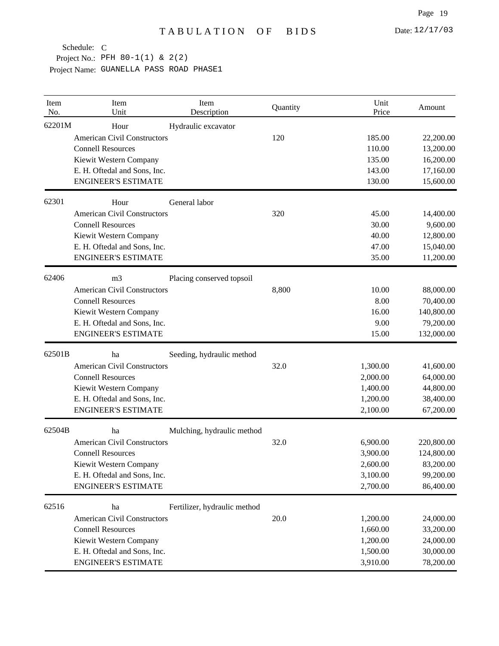Project No.: PFH 80-1(1) & 2(2)

| Item<br>No. | Item<br>Unit                                           | Item<br>Description          | Quantity | Unit<br>Price    | Amount                 |
|-------------|--------------------------------------------------------|------------------------------|----------|------------------|------------------------|
| 62201M      | Hour                                                   | Hydraulic excavator          |          |                  |                        |
|             | <b>American Civil Constructors</b>                     |                              | 120      | 185.00           | 22,200.00              |
|             | <b>Connell Resources</b>                               |                              |          | 110.00<br>135.00 | 13,200.00              |
|             | Kiewit Western Company<br>E. H. Oftedal and Sons, Inc. |                              |          | 143.00           | 16,200.00<br>17,160.00 |
|             | <b>ENGINEER'S ESTIMATE</b>                             |                              |          | 130.00           | 15,600.00              |
| 62301       | Hour                                                   | General labor                |          |                  |                        |
|             | <b>American Civil Constructors</b>                     |                              | 320      | 45.00            | 14,400.00              |
|             | <b>Connell Resources</b>                               |                              |          | 30.00            | 9,600.00               |
|             | Kiewit Western Company                                 |                              |          | 40.00            | 12,800.00              |
|             | E. H. Oftedal and Sons, Inc.                           |                              |          | 47.00            | 15,040.00              |
|             | <b>ENGINEER'S ESTIMATE</b>                             |                              |          | 35.00            | 11,200.00              |
| 62406       | m <sub>3</sub>                                         | Placing conserved topsoil    |          |                  |                        |
|             | <b>American Civil Constructors</b>                     |                              | 8,800    | 10.00            | 88,000.00              |
|             | <b>Connell Resources</b>                               |                              |          | 8.00             | 70,400.00              |
|             | Kiewit Western Company                                 |                              |          | 16.00            | 140,800.00             |
|             | E. H. Oftedal and Sons, Inc.                           |                              |          | 9.00             | 79,200.00              |
|             | <b>ENGINEER'S ESTIMATE</b>                             |                              |          | 15.00            | 132,000.00             |
| 62501B      | ha                                                     | Seeding, hydraulic method    |          |                  |                        |
|             | <b>American Civil Constructors</b>                     |                              | 32.0     | 1,300.00         | 41,600.00              |
|             | <b>Connell Resources</b>                               |                              |          | 2,000.00         | 64,000.00              |
|             | Kiewit Western Company                                 |                              |          | 1,400.00         | 44,800.00              |
|             | E. H. Oftedal and Sons, Inc.                           |                              |          | 1,200.00         | 38,400.00              |
|             | <b>ENGINEER'S ESTIMATE</b>                             |                              |          | 2,100.00         | 67,200.00              |
| 62504B      | ha                                                     | Mulching, hydraulic method   |          |                  |                        |
|             | <b>American Civil Constructors</b>                     |                              | 32.0     | 6,900.00         | 220,800.00             |
|             | <b>Connell Resources</b>                               |                              |          | 3,900.00         | 124,800.00             |
|             | Kiewit Western Company                                 |                              |          | 2,600.00         | 83,200.00              |
|             | E. H. Oftedal and Sons, Inc.                           |                              |          | 3,100.00         | 99,200.00              |
|             | <b>ENGINEER'S ESTIMATE</b>                             |                              |          | 2,700.00         | 86,400.00              |
| 62516       | ha                                                     | Fertilizer, hydraulic method |          |                  |                        |
|             | <b>American Civil Constructors</b>                     |                              | 20.0     | 1,200.00         | 24,000.00              |
|             | <b>Connell Resources</b>                               |                              |          | 1,660.00         | 33,200.00              |
|             | Kiewit Western Company                                 |                              |          | 1,200.00         | 24,000.00              |
|             | E. H. Oftedal and Sons, Inc.                           |                              |          | 1,500.00         | 30,000.00              |
|             | <b>ENGINEER'S ESTIMATE</b>                             |                              |          | 3,910.00         | 78,200.00              |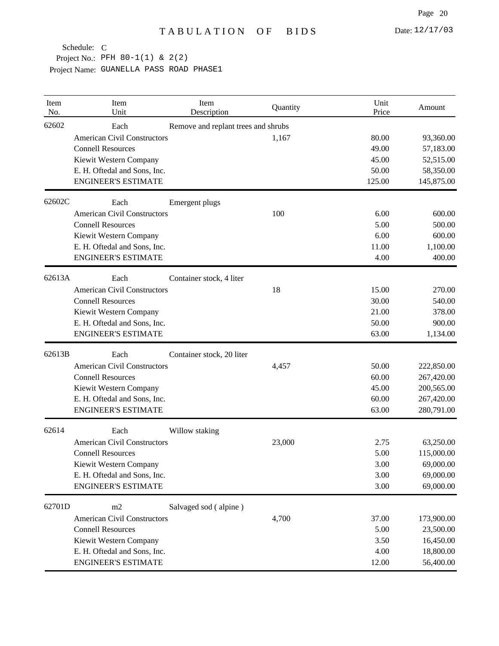| Item<br>No. | Item<br>Unit                       | Item<br>Description                 | Quantity | Unit<br>Price | Amount     |
|-------------|------------------------------------|-------------------------------------|----------|---------------|------------|
| 62602       | Each                               | Remove and replant trees and shrubs |          |               |            |
|             | <b>American Civil Constructors</b> |                                     | 1,167    | 80.00         | 93,360.00  |
|             | <b>Connell Resources</b>           |                                     |          | 49.00         | 57,183.00  |
|             | Kiewit Western Company             |                                     |          | 45.00         | 52,515.00  |
|             | E. H. Oftedal and Sons, Inc.       |                                     |          | 50.00         | 58,350.00  |
|             | <b>ENGINEER'S ESTIMATE</b>         |                                     |          | 125.00        | 145,875.00 |
| 62602C      | Each                               | Emergent plugs                      |          |               |            |
|             | <b>American Civil Constructors</b> |                                     | 100      | 6.00          | 600.00     |
|             | <b>Connell Resources</b>           |                                     |          | 5.00          | 500.00     |
|             | Kiewit Western Company             |                                     |          | 6.00          | 600.00     |
|             | E. H. Oftedal and Sons, Inc.       |                                     |          | 11.00         | 1,100.00   |
|             | <b>ENGINEER'S ESTIMATE</b>         |                                     |          | 4.00          | 400.00     |
| 62613A      | Each                               | Container stock, 4 liter            |          |               |            |
|             | <b>American Civil Constructors</b> |                                     | 18       | 15.00         | 270.00     |
|             | <b>Connell Resources</b>           |                                     |          | 30.00         | 540.00     |
|             | Kiewit Western Company             |                                     |          | 21.00         | 378.00     |
|             | E. H. Oftedal and Sons, Inc.       |                                     |          | 50.00         | 900.00     |
|             | <b>ENGINEER'S ESTIMATE</b>         |                                     |          | 63.00         | 1,134.00   |
| 62613B      | Each                               | Container stock, 20 liter           |          |               |            |
|             | <b>American Civil Constructors</b> |                                     | 4,457    | 50.00         | 222,850.00 |
|             | <b>Connell Resources</b>           |                                     |          | 60.00         | 267,420.00 |
|             | Kiewit Western Company             |                                     |          | 45.00         | 200,565.00 |
|             | E. H. Oftedal and Sons, Inc.       |                                     |          | 60.00         | 267,420.00 |
|             | <b>ENGINEER'S ESTIMATE</b>         |                                     |          | 63.00         | 280,791.00 |
| 62614       | Each                               | Willow staking                      |          |               |            |
|             | <b>American Civil Constructors</b> |                                     | 23,000   | 2.75          | 63,250.00  |
|             | <b>Connell Resources</b>           |                                     |          | 5.00          | 115,000.00 |
|             | Kiewit Western Company             |                                     |          | 3.00          | 69,000.00  |
|             | E. H. Oftedal and Sons, Inc.       |                                     |          | 3.00          | 69,000.00  |
|             | <b>ENGINEER'S ESTIMATE</b>         |                                     |          | 3.00          | 69,000.00  |
| 62701D      | m2                                 | Salvaged sod (alpine)               |          |               |            |
|             | <b>American Civil Constructors</b> |                                     | 4,700    | 37.00         | 173,900.00 |
|             | <b>Connell Resources</b>           |                                     |          | 5.00          | 23,500.00  |
|             | Kiewit Western Company             |                                     |          | 3.50          | 16,450.00  |
|             | E. H. Oftedal and Sons, Inc.       |                                     |          | 4.00          | 18,800.00  |
|             | <b>ENGINEER'S ESTIMATE</b>         |                                     |          | 12.00         | 56,400.00  |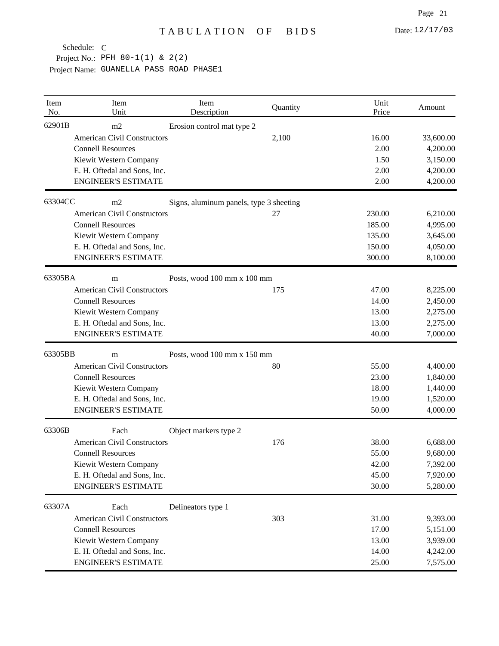| Item<br>No. | Item<br>Unit                       | Item<br>Description                     | Quantity | Unit<br>Price | Amount    |
|-------------|------------------------------------|-----------------------------------------|----------|---------------|-----------|
| 62901B      | m2                                 | Erosion control mat type 2              |          |               |           |
|             | <b>American Civil Constructors</b> |                                         | 2,100    | 16.00         | 33,600.00 |
|             | <b>Connell Resources</b>           |                                         |          | 2.00          | 4,200.00  |
|             | Kiewit Western Company             |                                         |          | 1.50          | 3,150.00  |
|             | E. H. Oftedal and Sons, Inc.       |                                         |          | 2.00          | 4,200.00  |
|             | <b>ENGINEER'S ESTIMATE</b>         |                                         |          | 2.00          | 4,200.00  |
| 63304CC     | m <sub>2</sub>                     | Signs, aluminum panels, type 3 sheeting |          |               |           |
|             | <b>American Civil Constructors</b> |                                         | 27       | 230.00        | 6,210.00  |
|             | <b>Connell Resources</b>           |                                         |          | 185.00        | 4,995.00  |
|             | Kiewit Western Company             |                                         |          | 135.00        | 3,645.00  |
|             | E. H. Oftedal and Sons, Inc.       |                                         |          | 150.00        | 4,050.00  |
|             | <b>ENGINEER'S ESTIMATE</b>         |                                         |          | 300.00        | 8,100.00  |
| 63305BA     | m                                  | Posts, wood 100 mm x 100 mm             |          |               |           |
|             | <b>American Civil Constructors</b> |                                         | 175      | 47.00         | 8,225.00  |
|             | <b>Connell Resources</b>           |                                         |          | 14.00         | 2,450.00  |
|             | Kiewit Western Company             |                                         |          | 13.00         | 2,275.00  |
|             | E. H. Oftedal and Sons, Inc.       |                                         |          | 13.00         | 2,275.00  |
|             | <b>ENGINEER'S ESTIMATE</b>         |                                         |          | 40.00         | 7,000.00  |
| 63305BB     | m                                  | Posts, wood 100 mm x 150 mm             |          |               |           |
|             | <b>American Civil Constructors</b> |                                         | 80       | 55.00         | 4,400.00  |
|             | <b>Connell Resources</b>           |                                         |          | 23.00         | 1,840.00  |
|             | Kiewit Western Company             |                                         |          | 18.00         | 1,440.00  |
|             | E. H. Oftedal and Sons, Inc.       |                                         |          | 19.00         | 1,520.00  |
|             | <b>ENGINEER'S ESTIMATE</b>         |                                         |          | 50.00         | 4,000.00  |
| 63306B      | Each                               | Object markers type 2                   |          |               |           |
|             | <b>American Civil Constructors</b> |                                         | 176      | 38.00         | 6,688.00  |
|             | <b>Connell Resources</b>           |                                         |          | 55.00         | 9,680.00  |
|             | Kiewit Western Company             |                                         |          | 42.00         | 7,392.00  |
|             | E. H. Oftedal and Sons, Inc.       |                                         |          | 45.00         | 7,920.00  |
|             | <b>ENGINEER'S ESTIMATE</b>         |                                         |          | 30.00         | 5,280.00  |
| 63307A      | Each                               | Delineators type 1                      |          |               |           |
|             | <b>American Civil Constructors</b> |                                         | 303      | 31.00         | 9,393.00  |
|             | <b>Connell Resources</b>           |                                         |          | 17.00         | 5,151.00  |
|             | Kiewit Western Company             |                                         |          | 13.00         | 3,939.00  |
|             | E. H. Oftedal and Sons, Inc.       |                                         |          | 14.00         | 4,242.00  |
|             | <b>ENGINEER'S ESTIMATE</b>         |                                         |          | 25.00         | 7,575.00  |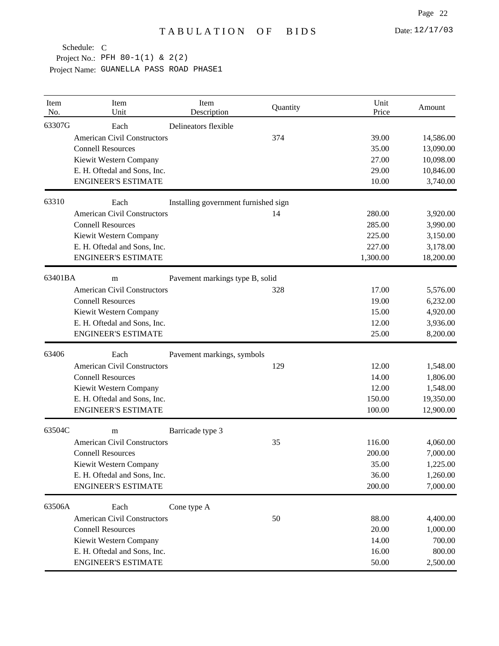| Item<br>No. | Item<br>Unit                       | Item<br>Description                  | Quantity | Unit<br>Price | Amount    |
|-------------|------------------------------------|--------------------------------------|----------|---------------|-----------|
| 63307G      | Each                               | Delineators flexible                 |          |               |           |
|             | <b>American Civil Constructors</b> |                                      | 374      | 39.00         | 14,586.00 |
|             | <b>Connell Resources</b>           |                                      |          | 35.00         | 13,090.00 |
|             | Kiewit Western Company             |                                      |          | 27.00         | 10,098.00 |
|             | E. H. Oftedal and Sons, Inc.       |                                      |          | 29.00         | 10,846.00 |
|             | <b>ENGINEER'S ESTIMATE</b>         |                                      |          | 10.00         | 3,740.00  |
| 63310       | Each                               | Installing government furnished sign |          |               |           |
|             | <b>American Civil Constructors</b> |                                      | 14       | 280.00        | 3,920.00  |
|             | <b>Connell Resources</b>           |                                      |          | 285.00        | 3,990.00  |
|             | Kiewit Western Company             |                                      |          | 225.00        | 3,150.00  |
|             | E. H. Oftedal and Sons, Inc.       |                                      |          | 227.00        | 3,178.00  |
|             | <b>ENGINEER'S ESTIMATE</b>         |                                      |          | 1,300.00      | 18,200.00 |
| 63401BA     | m                                  | Pavement markings type B, solid      |          |               |           |
|             | <b>American Civil Constructors</b> |                                      | 328      | 17.00         | 5,576.00  |
|             | <b>Connell Resources</b>           |                                      |          | 19.00         | 6,232.00  |
|             | Kiewit Western Company             |                                      |          | 15.00         | 4,920.00  |
|             | E. H. Oftedal and Sons, Inc.       |                                      |          | 12.00         | 3,936.00  |
|             | <b>ENGINEER'S ESTIMATE</b>         |                                      |          | 25.00         | 8,200.00  |
| 63406       | Each                               | Pavement markings, symbols           |          |               |           |
|             | <b>American Civil Constructors</b> |                                      | 129      | 12.00         | 1,548.00  |
|             | <b>Connell Resources</b>           |                                      |          | 14.00         | 1,806.00  |
|             | Kiewit Western Company             |                                      |          | 12.00         | 1,548.00  |
|             | E. H. Oftedal and Sons, Inc.       |                                      |          | 150.00        | 19,350.00 |
|             | <b>ENGINEER'S ESTIMATE</b>         |                                      |          | 100.00        | 12,900.00 |
| 63504C      | m                                  | Barricade type 3                     |          |               |           |
|             | <b>American Civil Constructors</b> |                                      | 35       | 116.00        | 4,060.00  |
|             | <b>Connell Resources</b>           |                                      |          | 200.00        | 7,000.00  |
|             | Kiewit Western Company             |                                      |          | 35.00         | 1,225.00  |
|             | E. H. Oftedal and Sons, Inc.       |                                      |          | 36.00         | 1,260.00  |
|             | <b>ENGINEER'S ESTIMATE</b>         |                                      |          | 200.00        | 7,000.00  |
| 63506A      | Each                               | Cone type A                          |          |               |           |
|             | <b>American Civil Constructors</b> |                                      | 50       | 88.00         | 4,400.00  |
|             | <b>Connell Resources</b>           |                                      |          | 20.00         | 1,000.00  |
|             | Kiewit Western Company             |                                      |          | 14.00         | 700.00    |
|             | E. H. Oftedal and Sons, Inc.       |                                      |          | 16.00         | 800.00    |
|             | <b>ENGINEER'S ESTIMATE</b>         |                                      |          | 50.00         | 2,500.00  |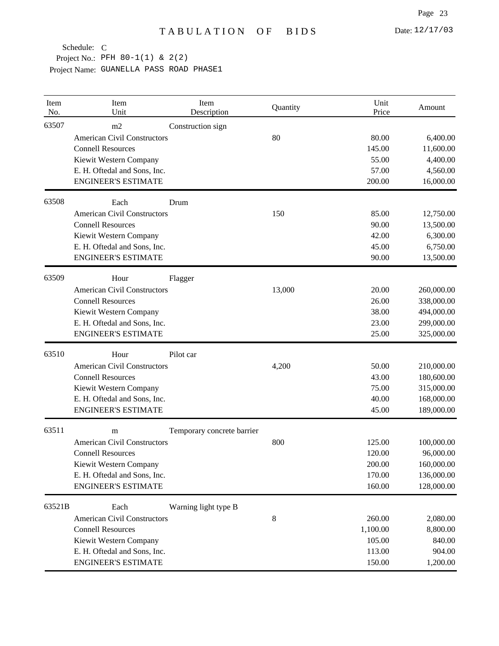| Item<br>No. | Item<br>Unit                       | Item<br>Description        | Quantity | Unit<br>Price | Amount     |
|-------------|------------------------------------|----------------------------|----------|---------------|------------|
| 63507       | m2                                 | Construction sign          |          |               |            |
|             | <b>American Civil Constructors</b> |                            | 80       | 80.00         | 6,400.00   |
|             | <b>Connell Resources</b>           |                            |          | 145.00        | 11,600.00  |
|             | Kiewit Western Company             |                            |          | 55.00         | 4,400.00   |
|             | E. H. Oftedal and Sons, Inc.       |                            |          | 57.00         | 4,560.00   |
|             | <b>ENGINEER'S ESTIMATE</b>         |                            |          | 200.00        | 16,000.00  |
| 63508       | Each                               | Drum                       |          |               |            |
|             | <b>American Civil Constructors</b> |                            | 150      | 85.00         | 12,750.00  |
|             | <b>Connell Resources</b>           |                            |          | 90.00         | 13,500.00  |
|             | Kiewit Western Company             |                            |          | 42.00         | 6,300.00   |
|             | E. H. Oftedal and Sons, Inc.       |                            |          | 45.00         | 6,750.00   |
|             | <b>ENGINEER'S ESTIMATE</b>         |                            |          | 90.00         | 13,500.00  |
| 63509       | Hour                               | Flagger                    |          |               |            |
|             | <b>American Civil Constructors</b> |                            | 13,000   | 20.00         | 260,000.00 |
|             | <b>Connell Resources</b>           |                            |          | 26.00         | 338,000.00 |
|             | Kiewit Western Company             |                            |          | 38.00         | 494,000.00 |
|             | E. H. Oftedal and Sons, Inc.       |                            |          | 23.00         | 299,000.00 |
|             | <b>ENGINEER'S ESTIMATE</b>         |                            |          | 25.00         | 325,000.00 |
| 63510       | Hour                               | Pilot car                  |          |               |            |
|             | <b>American Civil Constructors</b> |                            | 4,200    | 50.00         | 210,000.00 |
|             | <b>Connell Resources</b>           |                            |          | 43.00         | 180,600.00 |
|             | Kiewit Western Company             |                            |          | 75.00         | 315,000.00 |
|             | E. H. Oftedal and Sons, Inc.       |                            |          | 40.00         | 168,000.00 |
|             | <b>ENGINEER'S ESTIMATE</b>         |                            |          | 45.00         | 189,000.00 |
| 63511       | m                                  | Temporary concrete barrier |          |               |            |
|             | <b>American Civil Constructors</b> |                            | 800      | 125.00        | 100,000.00 |
|             | <b>Connell Resources</b>           |                            |          | 120.00        | 96,000.00  |
|             | Kiewit Western Company             |                            |          | 200.00        | 160,000.00 |
|             | E. H. Oftedal and Sons, Inc.       |                            |          | 170.00        | 136,000.00 |
|             | <b>ENGINEER'S ESTIMATE</b>         |                            |          | 160.00        | 128,000.00 |
| 63521B      | Each                               | Warning light type B       |          |               |            |
|             | <b>American Civil Constructors</b> |                            | 8        | 260.00        | 2,080.00   |
|             | <b>Connell Resources</b>           |                            |          | 1,100.00      | 8,800.00   |
|             | Kiewit Western Company             |                            |          | 105.00        | 840.00     |
|             | E. H. Oftedal and Sons, Inc.       |                            |          | 113.00        | 904.00     |
|             | <b>ENGINEER'S ESTIMATE</b>         |                            |          | 150.00        | 1,200.00   |